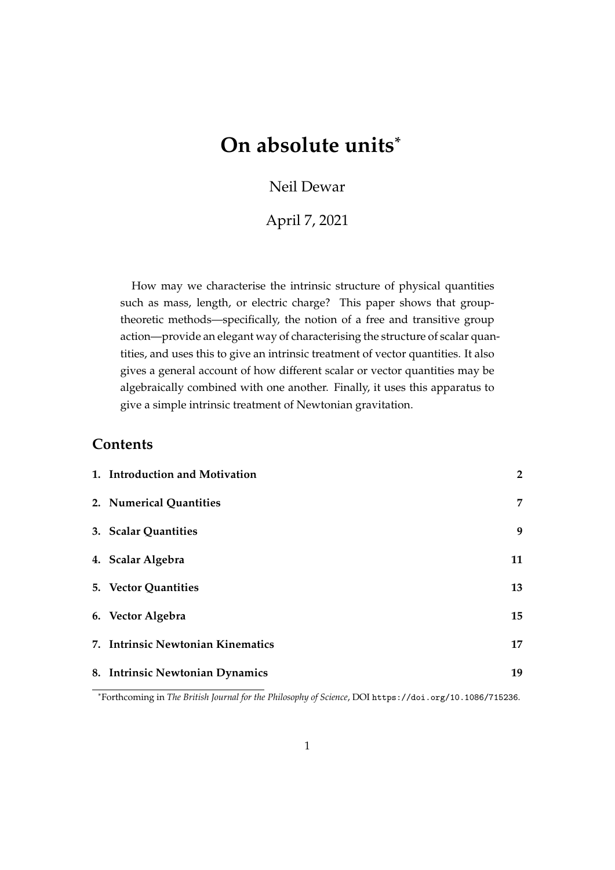# **On absolute units\***

# Neil Dewar

April 7, 2021

How may we characterise the intrinsic structure of physical quantities such as mass, length, or electric charge? This paper shows that grouptheoretic methods—specifically, the notion of a free and transitive group action—provide an elegant way of characterising the structure of scalar quantities, and uses this to give an intrinsic treatment of vector quantities. It also gives a general account of how different scalar or vector quantities may be algebraically combined with one another. Finally, it uses this apparatus to give a simple intrinsic treatment of Newtonian gravitation.

# **Contents**

| 1. Introduction and Motivation    | $\overline{2}$ |
|-----------------------------------|----------------|
| 2. Numerical Quantities           | 7              |
| 3. Scalar Quantities              | 9              |
| 4. Scalar Algebra                 | 11             |
| 5. Vector Quantities              | 13             |
| 6. Vector Algebra                 | 15             |
| 7. Intrinsic Newtonian Kinematics | 17             |
| 8. Intrinsic Newtonian Dynamics   | 19             |

<sup>\*</sup>Forthcoming in *The British Journal for the Philosophy of Science*, DOI <https://doi.org/10.1086/715236>.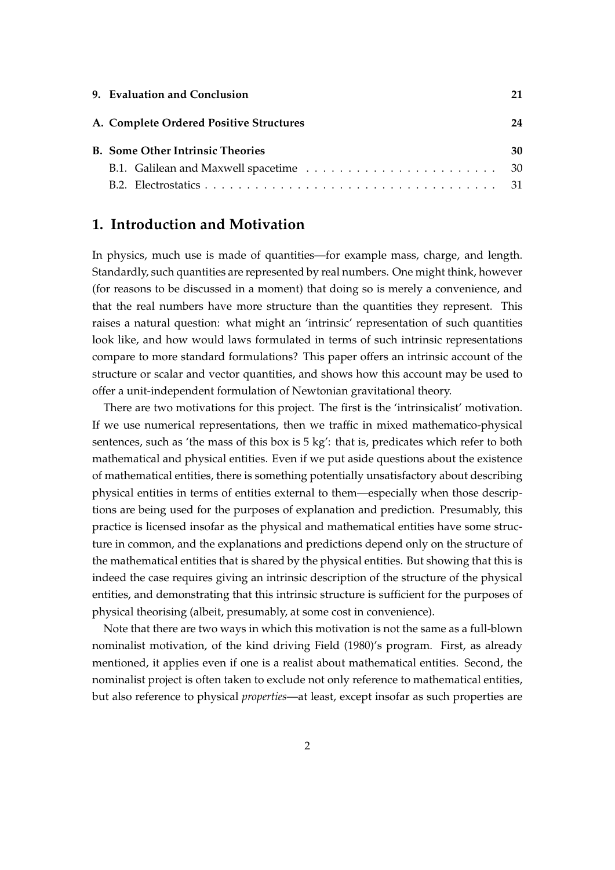| 9. Evaluation and Conclusion            | 21 |
|-----------------------------------------|----|
| A. Complete Ordered Positive Structures | 24 |
| <b>B.</b> Some Other Intrinsic Theories | 30 |
|                                         |    |
|                                         |    |

# <span id="page-1-0"></span>**1. Introduction and Motivation**

In physics, much use is made of quantities—for example mass, charge, and length. Standardly, such quantities are represented by real numbers. One might think, however (for reasons to be discussed in a moment) that doing so is merely a convenience, and that the real numbers have more structure than the quantities they represent. This raises a natural question: what might an 'intrinsic' representation of such quantities look like, and how would laws formulated in terms of such intrinsic representations compare to more standard formulations? This paper offers an intrinsic account of the structure or scalar and vector quantities, and shows how this account may be used to offer a unit-independent formulation of Newtonian gravitational theory.

There are two motivations for this project. The first is the 'intrinsicalist' motivation. If we use numerical representations, then we traffic in mixed mathematico-physical sentences, such as 'the mass of this box is 5 kg': that is, predicates which refer to both mathematical and physical entities. Even if we put aside questions about the existence of mathematical entities, there is something potentially unsatisfactory about describing physical entities in terms of entities external to them—especially when those descriptions are being used for the purposes of explanation and prediction. Presumably, this practice is licensed insofar as the physical and mathematical entities have some structure in common, and the explanations and predictions depend only on the structure of the mathematical entities that is shared by the physical entities. But showing that this is indeed the case requires giving an intrinsic description of the structure of the physical entities, and demonstrating that this intrinsic structure is sufficient for the purposes of physical theorising (albeit, presumably, at some cost in convenience).

Note that there are two ways in which this motivation is not the same as a full-blown nominalist motivation, of the kind driving [Field](#page-32-0) [\(1980\)](#page-32-0)'s program. First, as already mentioned, it applies even if one is a realist about mathematical entities. Second, the nominalist project is often taken to exclude not only reference to mathematical entities, but also reference to physical *properties*—at least, except insofar as such properties are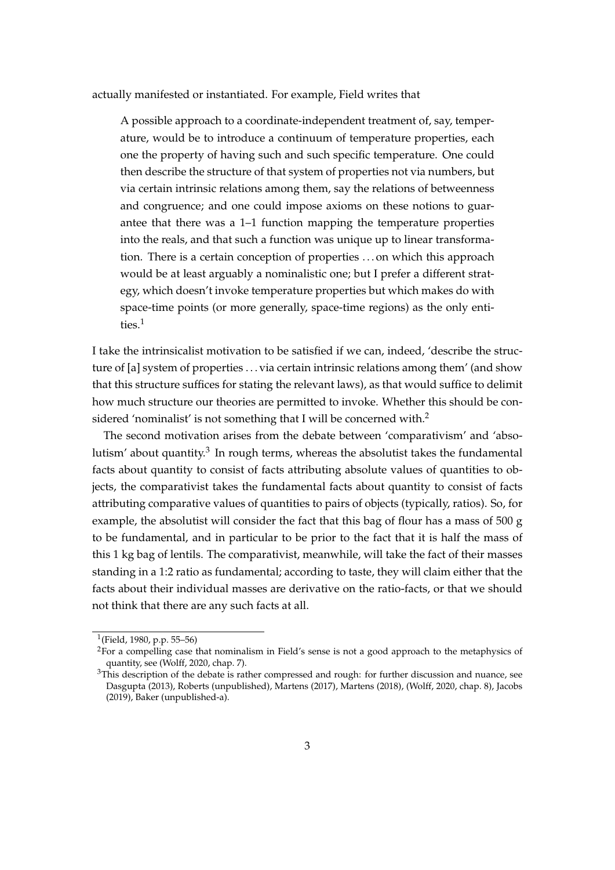actually manifested or instantiated. For example, Field writes that

A possible approach to a coordinate-independent treatment of, say, temperature, would be to introduce a continuum of temperature properties, each one the property of having such and such specific temperature. One could then describe the structure of that system of properties not via numbers, but via certain intrinsic relations among them, say the relations of betweenness and congruence; and one could impose axioms on these notions to guarantee that there was a 1–1 function mapping the temperature properties into the reals, and that such a function was unique up to linear transformation. There is a certain conception of properties . . . on which this approach would be at least arguably a nominalistic one; but I prefer a different strategy, which doesn't invoke temperature properties but which makes do with space-time points (or more generally, space-time regions) as the only entities.[1](#page-2-0)

I take the intrinsicalist motivation to be satisfied if we can, indeed, 'describe the structure of [a] system of properties . . . via certain intrinsic relations among them' (and show that this structure suffices for stating the relevant laws), as that would suffice to delimit how much structure our theories are permitted to invoke. Whether this should be con-sidered 'nominalist' is not something that I will be concerned with.<sup>[2](#page-2-1)</sup>

The second motivation arises from the debate between 'comparativism' and 'abso-lutism' about quantity.<sup>[3](#page-2-2)</sup> In rough terms, whereas the absolutist takes the fundamental facts about quantity to consist of facts attributing absolute values of quantities to objects, the comparativist takes the fundamental facts about quantity to consist of facts attributing comparative values of quantities to pairs of objects (typically, ratios). So, for example, the absolutist will consider the fact that this bag of flour has a mass of 500 g to be fundamental, and in particular to be prior to the fact that it is half the mass of this 1 kg bag of lentils. The comparativist, meanwhile, will take the fact of their masses standing in a 1:2 ratio as fundamental; according to taste, they will claim either that the facts about their individual masses are derivative on the ratio-facts, or that we should not think that there are any such facts at all.

<span id="page-2-0"></span><sup>&</sup>lt;sup>1</sup>[\(Field, 1980,](#page-32-0) p.p. 55–56)

<span id="page-2-1"></span><sup>&</sup>lt;sup>2</sup>For a compelling case that nominalism in Field's sense is not a good approach to the metaphysics of quantity, see [\(Wolff, 2020,](#page-34-0) chap. 7).

<span id="page-2-2"></span><sup>&</sup>lt;sup>3</sup>This description of the debate is rather compressed and rough: for further discussion and nuance, see [Dasgupta](#page-32-1) [\(2013\)](#page-32-1), [Roberts](#page-34-1) [\(unpublished\)](#page-34-1), [Martens](#page-33-0) [\(2017\)](#page-33-0), [Martens](#page-33-1) [\(2018\)](#page-33-1), [\(Wolff, 2020,](#page-34-0) chap. 8), [Jacobs](#page-32-2) [\(2019\)](#page-32-2), [Baker](#page-31-0) [\(unpublished-a\)](#page-31-0).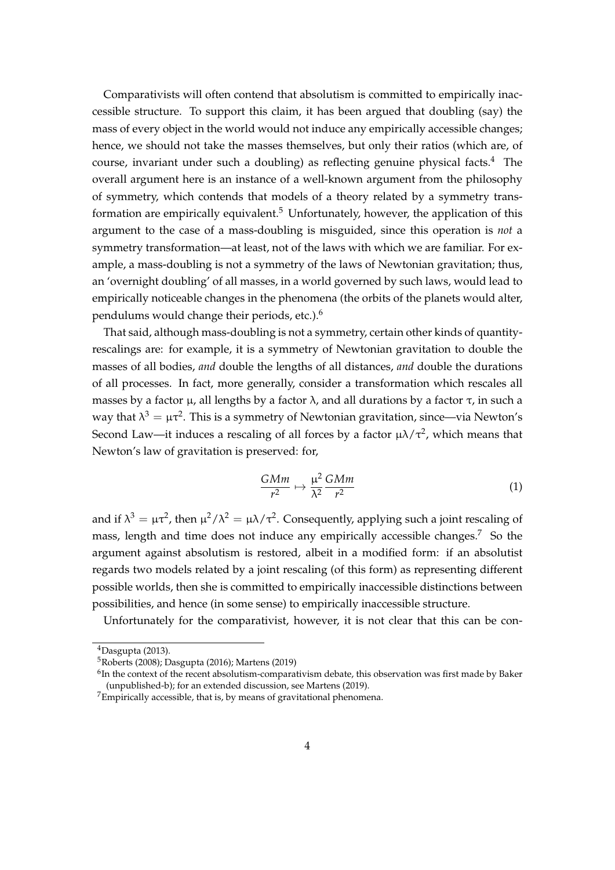Comparativists will often contend that absolutism is committed to empirically inaccessible structure. To support this claim, it has been argued that doubling (say) the mass of every object in the world would not induce any empirically accessible changes; hence, we should not take the masses themselves, but only their ratios (which are, of course, invariant under such a doubling) as reflecting genuine physical facts. $4$  The overall argument here is an instance of a well-known argument from the philosophy of symmetry, which contends that models of a theory related by a symmetry trans-formation are empirically equivalent.<sup>[5](#page-3-1)</sup> Unfortunately, however, the application of this argument to the case of a mass-doubling is misguided, since this operation is *not* a symmetry transformation—at least, not of the laws with which we are familiar. For example, a mass-doubling is not a symmetry of the laws of Newtonian gravitation; thus, an 'overnight doubling' of all masses, in a world governed by such laws, would lead to empirically noticeable changes in the phenomena (the orbits of the planets would alter, pendulums would change their periods, etc.).[6](#page-3-2)

That said, although mass-doubling is not a symmetry, certain other kinds of quantityrescalings are: for example, it is a symmetry of Newtonian gravitation to double the masses of all bodies, *and* double the lengths of all distances, *and* double the durations of all processes. In fact, more generally, consider a transformation which rescales all masses by a factor  $\mu$ , all lengths by a factor  $\lambda$ , and all durations by a factor  $\tau$ , in such a way that  $\lambda^3 = \mu \tau^2$ . This is a symmetry of Newtonian gravitation, since—via Newton's Second Law—it induces a rescaling of all forces by a factor  $\mu\lambda/\tau^2$ , which means that Newton's law of gravitation is preserved: for,

$$
\frac{GMm}{r^2} \mapsto \frac{\mu^2}{\lambda^2} \frac{GMm}{r^2} \tag{1}
$$

and if  $\lambda^3 = \mu \tau^2$ , then  $\mu^2/\lambda^2 = \mu \lambda/\tau^2$ . Consequently, applying such a joint rescaling of mass, length and time does not induce any empirically accessible changes.<sup>[7](#page-3-3)</sup> So the argument against absolutism is restored, albeit in a modified form: if an absolutist regards two models related by a joint rescaling (of this form) as representing different possible worlds, then she is committed to empirically inaccessible distinctions between possibilities, and hence (in some sense) to empirically inaccessible structure.

Unfortunately for the comparativist, however, it is not clear that this can be con-

<span id="page-3-0"></span><sup>4</sup>[Dasgupta](#page-32-1) [\(2013\)](#page-32-1).

<span id="page-3-1"></span><sup>5</sup>[Roberts](#page-34-2) [\(2008\)](#page-34-2); [Dasgupta](#page-32-3) [\(2016\)](#page-32-3); [Martens](#page-33-2) [\(2019\)](#page-33-2)

<span id="page-3-2"></span> $^6$ In the context of the recent absolutism-comparativism debate, this observation was first made by [Baker](#page-31-1) [\(unpublished-b\)](#page-31-1); for an extended discussion, see [Martens](#page-33-2) [\(2019\)](#page-33-2).

<span id="page-3-3"></span> $7$ Empirically accessible, that is, by means of gravitational phenomena.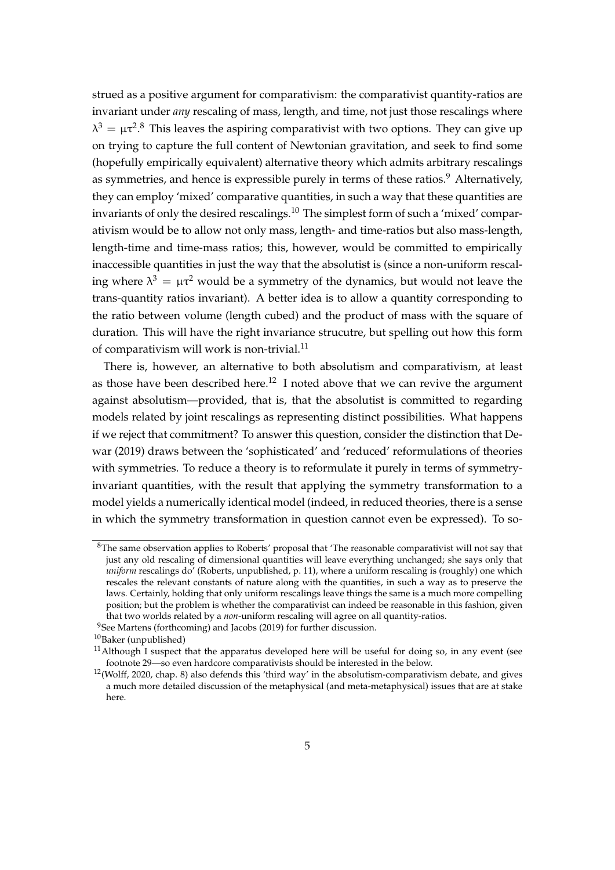strued as a positive argument for comparativism: the comparativist quantity-ratios are invariant under *any* rescaling of mass, length, and time, not just those rescalings where  $λ<sup>3</sup> = μτ<sup>2.8</sup>$  $λ<sup>3</sup> = μτ<sup>2.8</sup>$  $λ<sup>3</sup> = μτ<sup>2.8</sup>$  This leaves the aspiring comparativist with two options. They can give up on trying to capture the full content of Newtonian gravitation, and seek to find some (hopefully empirically equivalent) alternative theory which admits arbitrary rescalings as symmetries, and hence is expressible purely in terms of these ratios.<sup>[9](#page-4-1)</sup> Alternatively, they can employ 'mixed' comparative quantities, in such a way that these quantities are invariants of only the desired rescalings.<sup>[10](#page-4-2)</sup> The simplest form of such a 'mixed' comparativism would be to allow not only mass, length- and time-ratios but also mass-length, length-time and time-mass ratios; this, however, would be committed to empirically inaccessible quantities in just the way that the absolutist is (since a non-uniform rescaling where  $\lambda^3 = \mu \tau^2$  would be a symmetry of the dynamics, but would not leave the trans-quantity ratios invariant). A better idea is to allow a quantity corresponding to the ratio between volume (length cubed) and the product of mass with the square of duration. This will have the right invariance strucutre, but spelling out how this form of comparativism will work is non-trivial.<sup>[11](#page-4-3)</sup>

There is, however, an alternative to both absolutism and comparativism, at least as those have been described here.<sup>[12](#page-4-4)</sup> I noted above that we can revive the argument against absolutism—provided, that is, that the absolutist is committed to regarding models related by joint rescalings as representing distinct possibilities. What happens if we reject that commitment? To answer this question, consider the distinction that [De](#page-32-4)[war](#page-32-4) [\(2019\)](#page-32-4) draws between the 'sophisticated' and 'reduced' reformulations of theories with symmetries. To reduce a theory is to reformulate it purely in terms of symmetryinvariant quantities, with the result that applying the symmetry transformation to a model yields a numerically identical model (indeed, in reduced theories, there is a sense in which the symmetry transformation in question cannot even be expressed). To so-

<span id="page-4-0"></span><sup>8</sup>The same observation applies to Roberts' proposal that 'The reasonable comparativist will not say that just any old rescaling of dimensional quantities will leave everything unchanged; she says only that *uniform* rescalings do' [\(Roberts, unpublished,](#page-34-1) p. 11), where a uniform rescaling is (roughly) one which rescales the relevant constants of nature along with the quantities, in such a way as to preserve the laws. Certainly, holding that only uniform rescalings leave things the same is a much more compelling position; but the problem is whether the comparativist can indeed be reasonable in this fashion, given that two worlds related by a *non*-uniform rescaling will agree on all quantity-ratios.

<span id="page-4-1"></span><sup>&</sup>lt;sup>9</sup>See [Martens](#page-33-3) [\(forthcoming\)](#page-33-3) and [Jacobs](#page-32-2) [\(2019\)](#page-32-2) for further discussion.

<span id="page-4-2"></span> $^{10}\mbox{Baker}$  $^{10}\mbox{Baker}$  $^{10}\mbox{Baker}$  (unpublished)

<span id="page-4-3"></span> $11$ Although I suspect that the apparatus developed here will be useful for doing so, in any event (see footnote [29—](#page-20-1)so even hardcore comparativists should be interested in the below.

<span id="page-4-4"></span> $12$ [\(Wolff, 2020,](#page-34-0) chap. 8) also defends this 'third way' in the absolutism-comparativism debate, and gives a much more detailed discussion of the metaphysical (and meta-metaphysical) issues that are at stake here.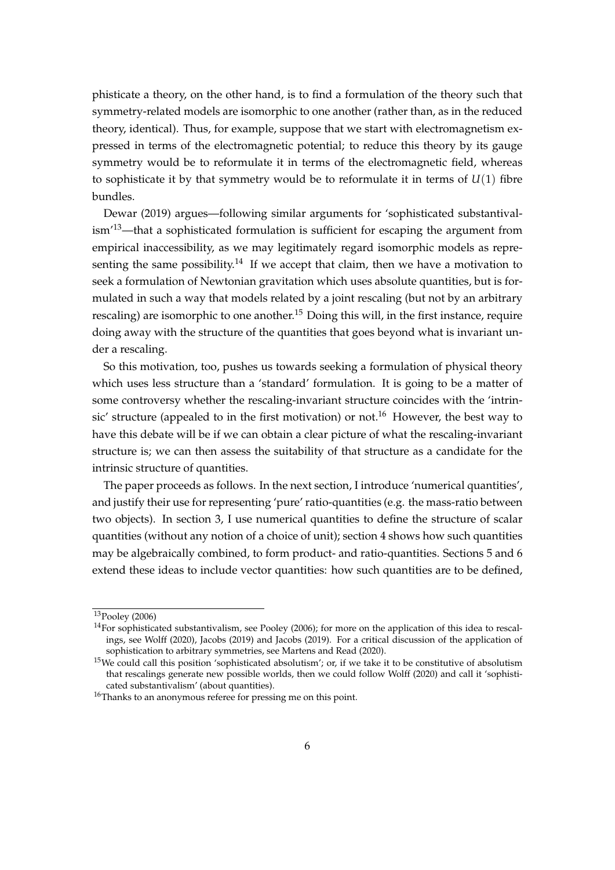phisticate a theory, on the other hand, is to find a formulation of the theory such that symmetry-related models are isomorphic to one another (rather than, as in the reduced theory, identical). Thus, for example, suppose that we start with electromagnetism expressed in terms of the electromagnetic potential; to reduce this theory by its gauge symmetry would be to reformulate it in terms of the electromagnetic field, whereas to sophisticate it by that symmetry would be to reformulate it in terms of *U*(1) fibre bundles.

[Dewar](#page-32-4) [\(2019\)](#page-32-4) argues—following similar arguments for 'sophisticated substantival- $\lim^{13}$  $\lim^{13}$  $\lim^{13}$ —that a sophisticated formulation is sufficient for escaping the argument from empirical inaccessibility, as we may legitimately regard isomorphic models as repre-senting the same possibility.<sup>[14](#page-5-1)</sup> If we accept that claim, then we have a motivation to seek a formulation of Newtonian gravitation which uses absolute quantities, but is formulated in such a way that models related by a joint rescaling (but not by an arbitrary rescaling) are isomorphic to one another.<sup>[15](#page-5-2)</sup> Doing this will, in the first instance, require doing away with the structure of the quantities that goes beyond what is invariant under a rescaling.

So this motivation, too, pushes us towards seeking a formulation of physical theory which uses less structure than a 'standard' formulation. It is going to be a matter of some controversy whether the rescaling-invariant structure coincides with the 'intrin-sic' structure (appealed to in the first motivation) or not.<sup>[16](#page-5-3)</sup> However, the best way to have this debate will be if we can obtain a clear picture of what the rescaling-invariant structure is; we can then assess the suitability of that structure as a candidate for the intrinsic structure of quantities.

The paper proceeds as follows. In the next section, I introduce 'numerical quantities', and justify their use for representing 'pure' ratio-quantities (e.g. the mass-ratio between two objects). In section [3,](#page-8-0) I use numerical quantities to define the structure of scalar quantities (without any notion of a choice of unit); section [4](#page-10-0) shows how such quantities may be algebraically combined, to form product- and ratio-quantities. Sections [5](#page-12-0) and [6](#page-14-0) extend these ideas to include vector quantities: how such quantities are to be defined,

<span id="page-5-0"></span><sup>13</sup>[Pooley](#page-34-3) [\(2006\)](#page-34-3)

<span id="page-5-1"></span> $14$ For sophisticated substantivalism, see [Pooley](#page-34-3) [\(2006\)](#page-34-3); for more on the application of this idea to rescalings, see [Wolff](#page-34-0) [\(2020\)](#page-34-0), [Jacobs](#page-32-2) [\(2019\)](#page-32-2) and [Jacobs](#page-32-2) [\(2019\)](#page-32-2). For a critical discussion of the application of sophistication to arbitrary symmetries, see [Martens and Read](#page-33-4) [\(2020\)](#page-33-4).

<span id="page-5-2"></span> $15$ We could call this position 'sophisticated absolutism'; or, if we take it to be constitutive of absolutism that rescalings generate new possible worlds, then we could follow [Wolff](#page-34-0) [\(2020\)](#page-34-0) and call it 'sophisticated substantivalism' (about quantities).

<span id="page-5-3"></span><sup>&</sup>lt;sup>16</sup>Thanks to an anonymous referee for pressing me on this point.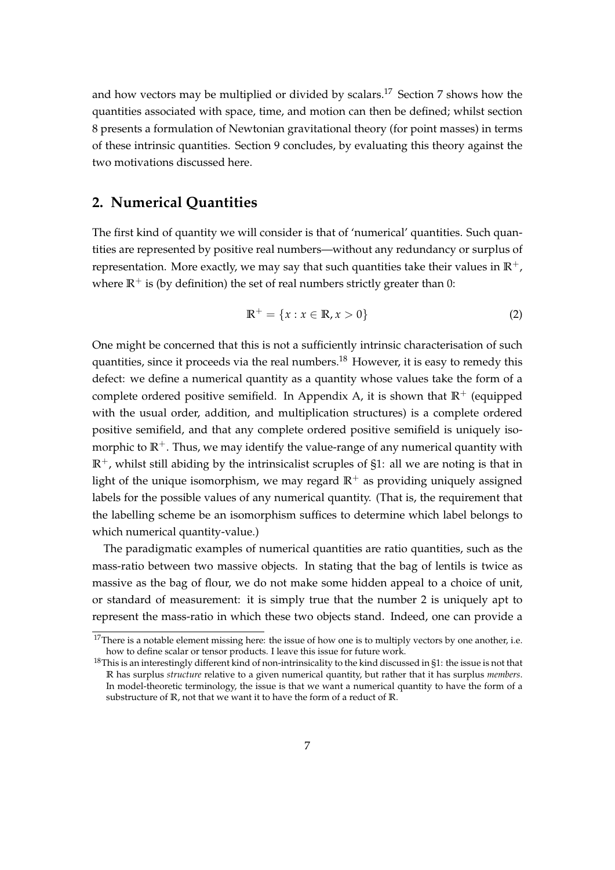and how vectors may be multiplied or divided by scalars.<sup>[17](#page-6-1)</sup> Section [7](#page-16-0) shows how the quantities associated with space, time, and motion can then be defined; whilst section [8](#page-18-0) presents a formulation of Newtonian gravitational theory (for point masses) in terms of these intrinsic quantities. Section [9](#page-20-0) concludes, by evaluating this theory against the two motivations discussed here.

### <span id="page-6-0"></span>**2. Numerical Quantities**

The first kind of quantity we will consider is that of 'numerical' quantities. Such quantities are represented by positive real numbers—without any redundancy or surplus of representation. More exactly, we may say that such quantities take their values in  $\mathbb{R}^+$ , where  $\mathbb{R}^+$  is (by definition) the set of real numbers strictly greater than 0:

$$
\mathbb{R}^+ = \{x : x \in \mathbb{R}, x > 0\}
$$
 (2)

One might be concerned that this is not a sufficiently intrinsic characterisation of such quantities, since it proceeds via the real numbers.<sup>[18](#page-6-2)</sup> However, it is easy to remedy this defect: we define a numerical quantity as a quantity whose values take the form of a complete ordered positive semifield. In Appendix [A,](#page-23-0) it is shown that  $\mathbb{R}^+$  (equipped with the usual order, addition, and multiplication structures) is a complete ordered positive semifield, and that any complete ordered positive semifield is uniquely isomorphic to  $\mathbb{R}^+$ . Thus, we may identify the value-range of any numerical quantity with  $\mathbb{R}^+$ , whilst still abiding by the intrinsicalist scruples of [§1:](#page-1-0) all we are noting is that in light of the unique isomorphism, we may regard  $\mathbb{R}^+$  as providing uniquely assigned labels for the possible values of any numerical quantity. (That is, the requirement that the labelling scheme be an isomorphism suffices to determine which label belongs to which numerical quantity-value.)

The paradigmatic examples of numerical quantities are ratio quantities, such as the mass-ratio between two massive objects. In stating that the bag of lentils is twice as massive as the bag of flour, we do not make some hidden appeal to a choice of unit, or standard of measurement: it is simply true that the number 2 is uniquely apt to represent the mass-ratio in which these two objects stand. Indeed, one can provide a

<span id="page-6-1"></span> $17$ There is a notable element missing here: the issue of how one is to multiply vectors by one another, i.e. how to define scalar or tensor products. I leave this issue for future work.

<span id="page-6-2"></span> $18$ This is an interestingly different kind of non-intrinsicality to the kind discussed in [§1:](#page-1-0) the issue is not that **R** has surplus *structure* relative to a given numerical quantity, but rather that it has surplus *members*. In model-theoretic terminology, the issue is that we want a numerical quantity to have the form of a substructure of **R**, not that we want it to have the form of a reduct of **R**.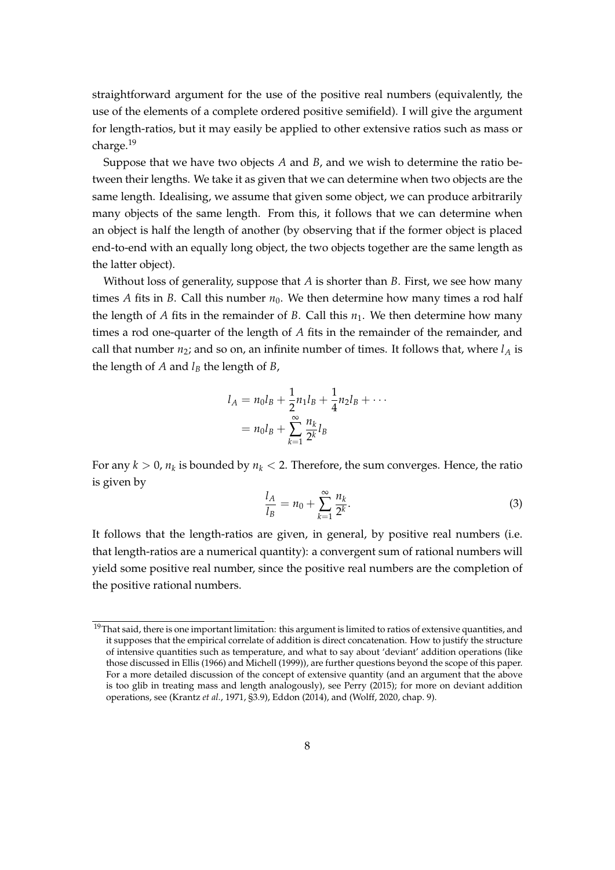straightforward argument for the use of the positive real numbers (equivalently, the use of the elements of a complete ordered positive semifield). I will give the argument for length-ratios, but it may easily be applied to other extensive ratios such as mass or charge.[19](#page-7-0)

Suppose that we have two objects *A* and *B*, and we wish to determine the ratio between their lengths. We take it as given that we can determine when two objects are the same length. Idealising, we assume that given some object, we can produce arbitrarily many objects of the same length. From this, it follows that we can determine when an object is half the length of another (by observing that if the former object is placed end-to-end with an equally long object, the two objects together are the same length as the latter object).

Without loss of generality, suppose that *A* is shorter than *B*. First, we see how many times *A* fits in *B*. Call this number  $n_0$ . We then determine how many times a rod half the length of *A* fits in the remainder of *B*. Call this  $n_1$ . We then determine how many times a rod one-quarter of the length of *A* fits in the remainder of the remainder, and call that number  $n_2$ ; and so on, an infinite number of times. It follows that, where  $l_A$  is the length of *A* and  $l_B$  the length of *B*,

$$
l_A = n_0 l_B + \frac{1}{2} n_1 l_B + \frac{1}{4} n_2 l_B + \cdots
$$
  
=  $n_0 l_B + \sum_{k=1}^{\infty} \frac{n_k}{2^k} l_B$ 

For any  $k > 0$ ,  $n_k$  is bounded by  $n_k < 2$ . Therefore, the sum converges. Hence, the ratio is given by

$$
\frac{l_A}{l_B} = n_0 + \sum_{k=1}^{\infty} \frac{n_k}{2^k}.
$$
 (3)

It follows that the length-ratios are given, in general, by positive real numbers (i.e. that length-ratios are a numerical quantity): a convergent sum of rational numbers will yield some positive real number, since the positive real numbers are the completion of the positive rational numbers.

<span id="page-7-0"></span> $19$ That said, there is one important limitation: this argument is limited to ratios of extensive quantities, and it supposes that the empirical correlate of addition is direct concatenation. How to justify the structure of intensive quantities such as temperature, and what to say about 'deviant' addition operations (like those discussed in [Ellis](#page-32-5) [\(1966\)](#page-32-5) and [Michell](#page-33-5) [\(1999\)](#page-33-5)), are further questions beyond the scope of this paper. For a more detailed discussion of the concept of extensive quantity (and an argument that the above is too glib in treating mass and length analogously), see [Perry](#page-33-6) [\(2015\)](#page-33-6); for more on deviant addition operations, see [\(Krantz](#page-33-7) *et al.*, [1971,](#page-33-7) §3.9), [Eddon](#page-32-6) [\(2014\)](#page-32-6), and [\(Wolff, 2020,](#page-34-0) chap. 9).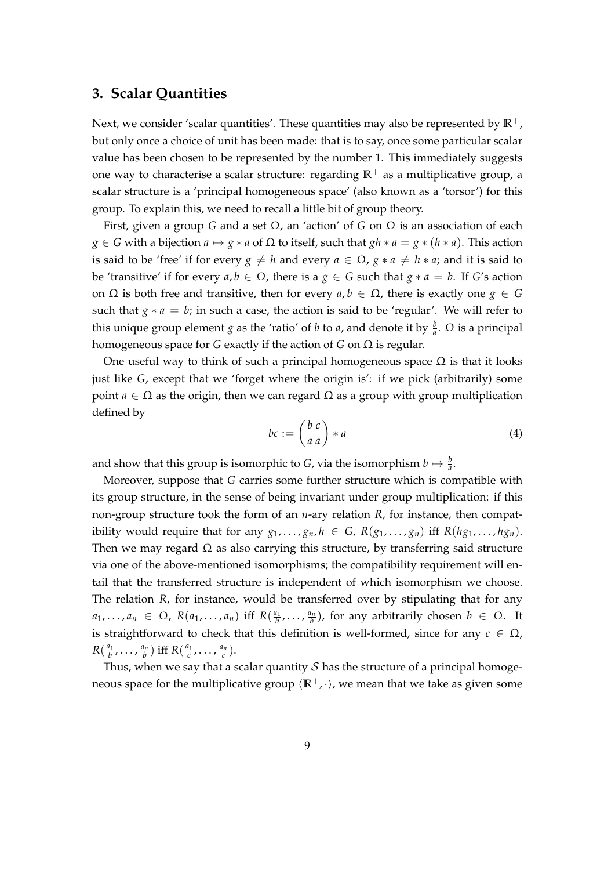#### <span id="page-8-0"></span>**3. Scalar Quantities**

Next, we consider 'scalar quantities'. These quantities may also be represented by  $\mathbb{R}^+$ , but only once a choice of unit has been made: that is to say, once some particular scalar value has been chosen to be represented by the number 1. This immediately suggests one way to characterise a scalar structure: regarding  $\mathbb{R}^+$  as a multiplicative group, a scalar structure is a 'principal homogeneous space' (also known as a 'torsor') for this group. To explain this, we need to recall a little bit of group theory.

First, given a group *G* and a set Ω, an 'action' of *G* on Ω is an association of each  $g \in G$  with a bijection  $a \mapsto g * a$  of  $\Omega$  to itself, such that  $gh * a = g * (h * a)$ . This action is said to be 'free' if for every  $g \neq h$  and every  $a \in \Omega$ ,  $g * a \neq h * a$ ; and it is said to be 'transitive' if for every *a*, *b* ∈ Ω, there is a *g* ∈ *G* such that *g* ∗ *a* = *b*. If *G*'s action on Ω is both free and transitive, then for every  $a, b \in Ω$ , there is exactly one *g* ∈ *G* such that  $g * a = b$ ; in such a case, the action is said to be 'regular'. We will refer to this unique group element *g* as the 'ratio' of *b* to *a*, and denote it by  $\frac{b}{a}$ .  $\Omega$  is a principal homogeneous space for *G* exactly if the action of *G* on Ω is regular.

One useful way to think of such a principal homogeneous space  $\Omega$  is that it looks just like *G*, except that we 'forget where the origin is': if we pick (arbitrarily) some point *a*  $\in$  Ω as the origin, then we can regard  $\Omega$  as a group with group multiplication defined by

$$
bc := \left(\frac{b}{a}\frac{c}{a}\right) * a \tag{4}
$$

and show that this group is isomorphic to *G*, via the isomorphism  $b \mapsto \frac{b}{a}$ .

Moreover, suppose that *G* carries some further structure which is compatible with its group structure, in the sense of being invariant under group multiplication: if this non-group structure took the form of an *n*-ary relation *R*, for instance, then compatibility would require that for any  $g_1, \ldots, g_n, h \in G$ ,  $R(g_1, \ldots, g_n)$  iff  $R(hg_1, \ldots, hg_n)$ . Then we may regard  $\Omega$  as also carrying this structure, by transferring said structure via one of the above-mentioned isomorphisms; the compatibility requirement will entail that the transferred structure is independent of which isomorphism we choose. The relation *R*, for instance, would be transferred over by stipulating that for any  $a_1, \ldots, a_n \in \Omega$ ,  $R(a_1, \ldots, a_n)$  iff  $R(\frac{a_1}{b}, \ldots, \frac{a_n}{b})$ , for any arbitrarily chosen  $b \in \Omega$ . It is straightforward to check that this definition is well-formed, since for any  $c \in \Omega$ ,  $R(\frac{a_1}{b},\ldots,\frac{a_n}{b})$  iff  $R(\frac{a_1}{c},\ldots,\frac{a_n}{c})$ .

Thus, when we say that a scalar quantity  $S$  has the structure of a principal homogeneous space for the multiplicative group  $\langle \mathbb{R}^+, \cdot \rangle$ , we mean that we take as given some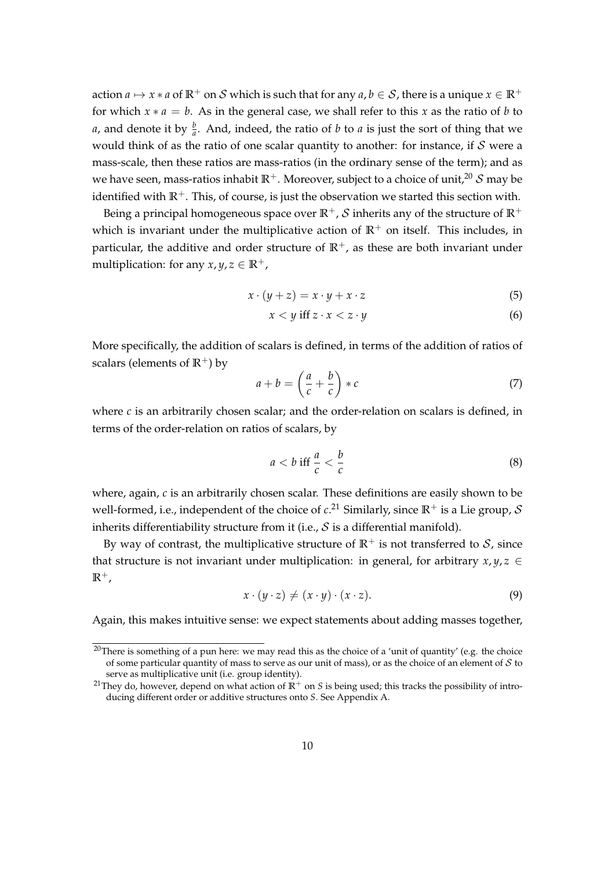action  $a \mapsto x * a$  of  $\mathbb{R}^+$  on S which is such that for any  $a, b \in S$ , there is a unique  $x \in \mathbb{R}^+$ for which  $x * a = b$ . As in the general case, we shall refer to this *x* as the ratio of *b* to *a*, and denote it by  $\frac{b}{a}$ . And, indeed, the ratio of *b* to *a* is just the sort of thing that we would think of as the ratio of one scalar quantity to another: for instance, if  $S$  were a mass-scale, then these ratios are mass-ratios (in the ordinary sense of the term); and as we have seen, mass-ratios inhabit  $\mathbb{R}^+$ . Moreover, subject to a choice of unit,<sup>[20](#page-9-0)</sup> S may be identified with  $\mathbb{R}^+$ . This, of course, is just the observation we started this section with.

Being a principal homogeneous space over  $\mathbb{R}^+$ , S inherits any of the structure of  $\mathbb{R}^+$ which is invariant under the multiplicative action of  $\mathbb{R}^+$  on itself. This includes, in particular, the additive and order structure of  $\mathbb{R}^+$ , as these are both invariant under multiplication: for any  $x, y, z \in \mathbb{R}^+$ ,

$$
x \cdot (y + z) = x \cdot y + x \cdot z \tag{5}
$$

$$
x < y \text{ iff } z \cdot x < z \cdot y \tag{6}
$$

More specifically, the addition of scalars is defined, in terms of the addition of ratios of scalars (elements of  $\mathbb{R}^+$ ) by

$$
a + b = \left(\frac{a}{c} + \frac{b}{c}\right) * c \tag{7}
$$

where *c* is an arbitrarily chosen scalar; and the order-relation on scalars is defined, in terms of the order-relation on ratios of scalars, by

$$
a < b \text{ iff } \frac{a}{c} < \frac{b}{c} \tag{8}
$$

where, again, *c* is an arbitrarily chosen scalar. These definitions are easily shown to be well-formed, i.e., independent of the choice of *c*. [21](#page-9-1) Similarly, since **R**<sup>+</sup> is a Lie group, S inherits differentiability structure from it (i.e.,  $S$  is a differential manifold).

By way of contrast, the multiplicative structure of  $\mathbb{R}^+$  is not transferred to  $\mathcal{S}_r$ , since that structure is not invariant under multiplication: in general, for arbitrary  $x, y, z \in$  $\mathbb{R}^+$ ,

$$
x \cdot (y \cdot z) \neq (x \cdot y) \cdot (x \cdot z). \tag{9}
$$

Again, this makes intuitive sense: we expect statements about adding masses together,

<span id="page-9-0"></span><sup>&</sup>lt;sup>20</sup>There is something of a pun here: we may read this as the choice of a 'unit of quantity' (e.g. the choice of some particular quantity of mass to serve as our unit of mass), or as the choice of an element of  $S$  to serve as multiplicative unit (i.e. group identity).

<span id="page-9-1"></span><sup>&</sup>lt;sup>21</sup>They do, however, depend on what action of  $\mathbb{R}^+$  on *S* is being used; this tracks the possibility of introducing different order or additive structures onto *S*. See Appendix [A.](#page-23-0)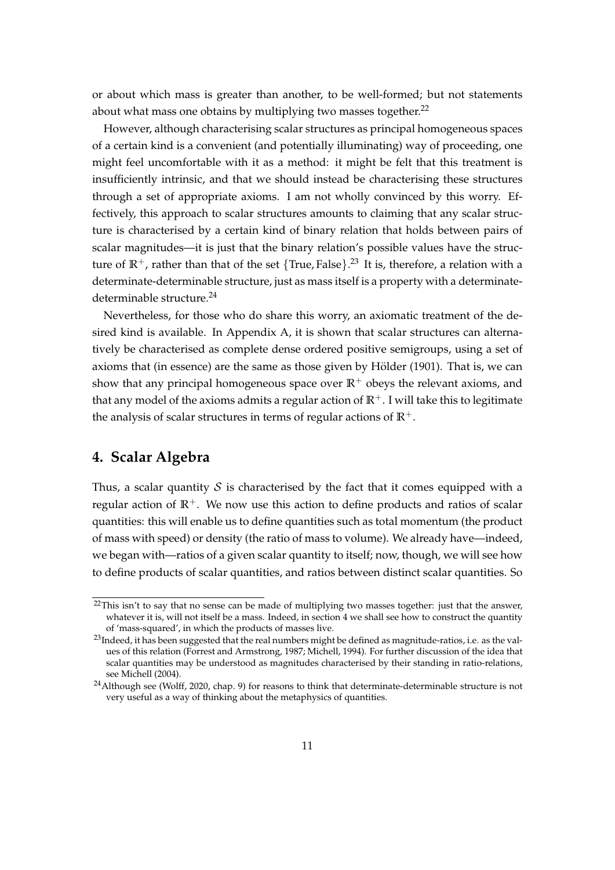or about which mass is greater than another, to be well-formed; but not statements about what mass one obtains by multiplying two masses together. $^{22}$  $^{22}$  $^{22}$ 

However, although characterising scalar structures as principal homogeneous spaces of a certain kind is a convenient (and potentially illuminating) way of proceeding, one might feel uncomfortable with it as a method: it might be felt that this treatment is insufficiently intrinsic, and that we should instead be characterising these structures through a set of appropriate axioms. I am not wholly convinced by this worry. Effectively, this approach to scalar structures amounts to claiming that any scalar structure is characterised by a certain kind of binary relation that holds between pairs of scalar magnitudes—it is just that the binary relation's possible values have the structure of  $\mathbb{R}^+$ , rather than that of the set  $\{\text{True}, \text{False}\}$ .<sup>[23](#page-10-2)</sup> It is, therefore, a relation with a determinate-determinable structure, just as mass itself is a property with a determinate-determinable structure.<sup>[24](#page-10-3)</sup>

Nevertheless, for those who do share this worry, an axiomatic treatment of the desired kind is available. In Appendix [A,](#page-23-0) it is shown that scalar structures can alternatively be characterised as complete dense ordered positive semigroups, using a set of axioms that (in essence) are the same as those given by Hölder [\(1901\)](#page-32-7). That is, we can show that any principal homogeneous space over  $\mathbb{R}^+$  obeys the relevant axioms, and that any model of the axioms admits a regular action of  $\mathbb{R}^+$ . I will take this to legitimate the analysis of scalar structures in terms of regular actions of  $\mathbb{R}^+$ .

# <span id="page-10-0"></span>**4. Scalar Algebra**

Thus, a scalar quantity S is characterised by the fact that it comes equipped with a regular action of  $\mathbb{R}^+$ . We now use this action to define products and ratios of scalar quantities: this will enable us to define quantities such as total momentum (the product of mass with speed) or density (the ratio of mass to volume). We already have—indeed, we began with—ratios of a given scalar quantity to itself; now, though, we will see how to define products of scalar quantities, and ratios between distinct scalar quantities. So

<span id="page-10-1"></span><sup>&</sup>lt;sup>22</sup>This isn't to say that no sense can be made of multiplying two masses together: just that the answer, whatever it is, will not itself be a mass. Indeed, in section [4](#page-10-0) we shall see how to construct the quantity of 'mass-squared', in which the products of masses live.

<span id="page-10-2"></span><sup>&</sup>lt;sup>23</sup>Indeed, it has been suggested that the real numbers might be defined as magnitude-ratios, i.e. as the values of this relation [\(Forrest and Armstrong, 1987;](#page-32-8) [Michell, 1994\)](#page-33-8). For further discussion of the idea that scalar quantities may be understood as magnitudes characterised by their standing in ratio-relations, see [Michell](#page-33-9) [\(2004\)](#page-33-9).

<span id="page-10-3"></span> $^{24}$ Although see [\(Wolff, 2020,](#page-34-0) chap. 9) for reasons to think that determinate-determinable structure is not very useful as a way of thinking about the metaphysics of quantities.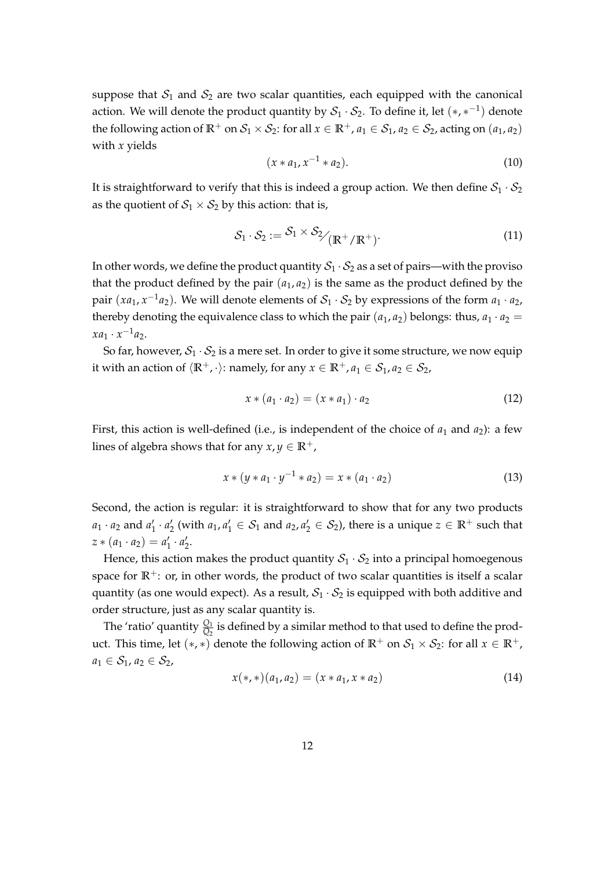suppose that  $S_1$  and  $S_2$  are two scalar quantities, each equipped with the canonical action. We will denote the product quantity by  $\mathcal{S}_1\cdot \mathcal{S}_2$ . To define it, let  $(\ast,\ast^{-1})$  denote the following action of  $\mathbb{R}^+$  on  $\mathcal{S}_1 \times \mathcal{S}_2$ : for all  $x \in \mathbb{R}^+$ ,  $a_1 \in \mathcal{S}_1$ ,  $a_2 \in \mathcal{S}_2$ , acting on  $(a_1, a_2)$ with *x* yields

$$
(x * a_1, x^{-1} * a_2). \t\t(10)
$$

It is straightforward to verify that this is indeed a group action. We then define  $S_1 \cdot S_2$ as the quotient of  $S_1 \times S_2$  by this action: that is,

$$
S_1 \cdot S_2 := S_1 \times S_2 / (\mathbb{R}^+ / \mathbb{R}^+)
$$
 (11)

In other words, we define the product quantity  $S_1 \cdot S_2$  as a set of pairs—with the proviso that the product defined by the pair  $(a_1, a_2)$  is the same as the product defined by the pair  $(xa_1, x^{-1}a_2)$ . We will denote elements of  $S_1 \cdot S_2$  by expressions of the form  $a_1 \cdot a_2$ , thereby denoting the equivalence class to which the pair  $(a_1, a_2)$  belongs: thus,  $a_1 \cdot a_2 =$  $xa_1 \cdot x^{-1}a_2.$ 

So far, however,  $S_1 \cdot S_2$  is a mere set. In order to give it some structure, we now equip it with an action of  $\langle \mathbb{R}^+, \cdot \rangle$ : namely, for any  $x \in \mathbb{R}^+, a_1 \in S_1, a_2 \in S_2$ ,

$$
x * (a_1 \cdot a_2) = (x * a_1) \cdot a_2 \tag{12}
$$

First, this action is well-defined (i.e., is independent of the choice of  $a_1$  and  $a_2$ ): a few lines of algebra shows that for any  $x, y \in \mathbb{R}^+$ ,

$$
x * (y * a_1 \cdot y^{-1} * a_2) = x * (a_1 \cdot a_2)
$$
\n(13)

Second, the action is regular: it is straightforward to show that for any two products  $a_1 \cdot a_2$  and  $a'_1 \cdot a'_2$  (with  $a_1, a'_1 \in S_1$  and  $a_2, a'_2 \in S_2$ ), there is a unique  $z \in \mathbb{R}^+$  such that  $z * (a_1 \cdot a_2) = a'_1 \cdot a'_2.$ 

Hence, this action makes the product quantity  $S_1 \cdot S_2$  into a principal homoegenous space for  $\mathbb{R}^+$ : or, in other words, the product of two scalar quantities is itself a scalar quantity (as one would expect). As a result,  $S_1 \cdot S_2$  is equipped with both additive and order structure, just as any scalar quantity is.

The 'ratio' quantity  $\frac{Q_1}{Q_2}$  is defined by a similar method to that used to define the product. This time, let  $(*, *)$  denote the following action of  $\mathbb{R}^+$  on  $\mathcal{S}_1 \times \mathcal{S}_2$ : for all  $x \in \mathbb{R}^+$ ,  $a_1 \in S_1$ ,  $a_2 \in S_2$ ,

$$
x(*,*)(a_1,a_2)=(x*a_1,x*a_2)
$$
\n(14)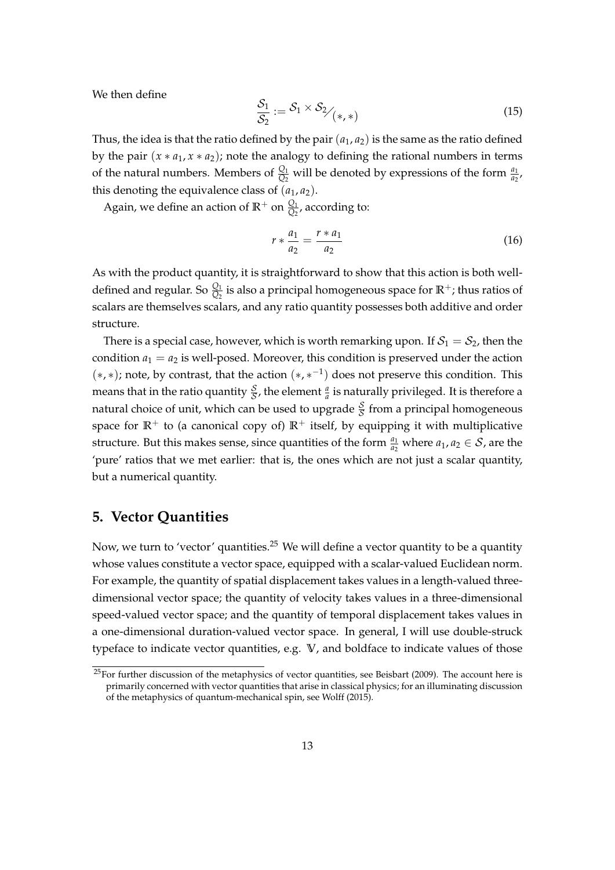We then define

$$
\frac{\mathcal{S}_1}{\mathcal{S}_2} := \mathcal{S}_1 \times \mathcal{S}_2 / \langle *, * \rangle \tag{15}
$$

Thus, the idea is that the ratio defined by the pair  $(a_1, a_2)$  is the same as the ratio defined by the pair  $(x * a_1, x * a_2)$ ; note the analogy to defining the rational numbers in terms of the natural numbers. Members of  $\frac{Q_1}{Q_2}$  will be denoted by expressions of the form  $\frac{a_1}{a_2}$ , this denoting the equivalence class of  $(a_1, a_2)$ .

Again, we define an action of  $\mathbb{R}^+$  on  $\frac{Q_1}{Q_2}$ , according to:

$$
r * \frac{a_1}{a_2} = \frac{r * a_1}{a_2} \tag{16}
$$

As with the product quantity, it is straightforward to show that this action is both welldefined and regular. So  $\frac{Q_1}{Q_2}$  is also a principal homogeneous space for  $\mathbb{R}^+$ ; thus ratios of scalars are themselves scalars, and any ratio quantity possesses both additive and order structure.

There is a special case, however, which is worth remarking upon. If  $S_1 = S_2$ , then the condition  $a_1 = a_2$  is well-posed. Moreover, this condition is preserved under the action  $(*, *)$ ; note, by contrast, that the action  $(*, *^{-1})$  does not preserve this condition. This means that in the ratio quantity  $\frac{S}{S}$ , the element  $\frac{a}{a}$  is naturally privileged. It is therefore a natural choice of unit, which can be used to upgrade  $\frac{\mathcal{S}}{\mathcal{S}}$  from a principal homogeneous space for  $\mathbb{R}^+$  to (a canonical copy of)  $\mathbb{R}^+$  itself, by equipping it with multiplicative structure. But this makes sense, since quantities of the form  $\frac{a_1}{a_2}$  where  $a_1, a_2 \in S$ , are the 'pure' ratios that we met earlier: that is, the ones which are not just a scalar quantity, but a numerical quantity.

# <span id="page-12-0"></span>**5. Vector Quantities**

Now, we turn to 'vector' quantities.[25](#page-12-1) We will define a vector quantity to be a quantity whose values constitute a vector space, equipped with a scalar-valued Euclidean norm. For example, the quantity of spatial displacement takes values in a length-valued threedimensional vector space; the quantity of velocity takes values in a three-dimensional speed-valued vector space; and the quantity of temporal displacement takes values in a one-dimensional duration-valued vector space. In general, I will use double-struck typeface to indicate vector quantities, e.g. **V**, and boldface to indicate values of those

<span id="page-12-1"></span> $25$ For further discussion of the metaphysics of vector quantities, see [Beisbart](#page-31-2) [\(2009\)](#page-31-2). The account here is primarily concerned with vector quantities that arise in classical physics; for an illuminating discussion of the metaphysics of quantum-mechanical spin, see [Wolff](#page-34-4) [\(2015\)](#page-34-4).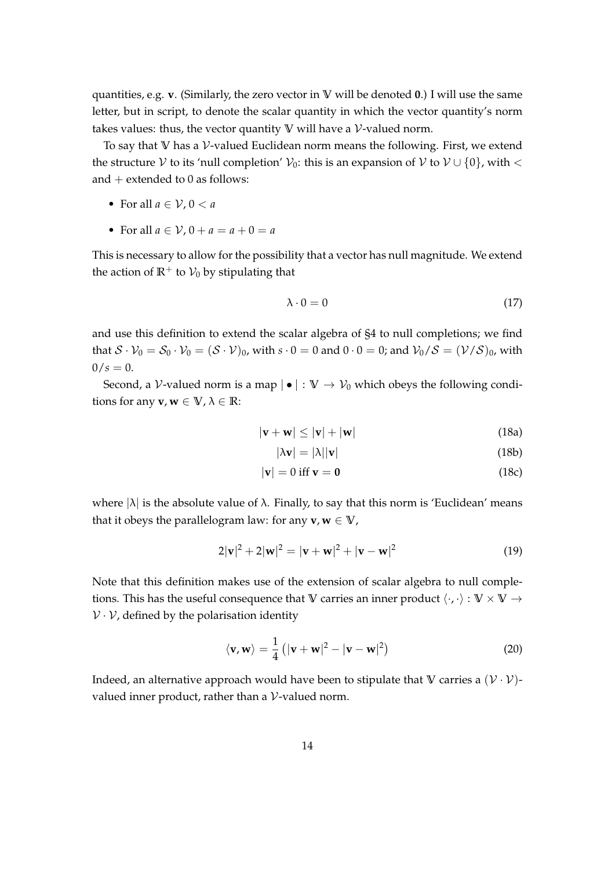quantities, e.g. **v**. (Similarly, the zero vector in **V** will be denoted **0**.) I will use the same letter, but in script, to denote the scalar quantity in which the vector quantity's norm takes values: thus, the vector quantity  $V$  will have a  $V$ -valued norm.

To say that **V** has a V-valued Euclidean norm means the following. First, we extend the structure V to its 'null completion'  $V_0$ : this is an expansion of V to  $V \cup \{0\}$ , with  $\lt$ and  $+$  extended to 0 as follows:

- For all  $a \in \mathcal{V}$ ,  $0 < a$
- For all  $a \in V$ ,  $0 + a = a + 0 = a$

This is necessary to allow for the possibility that a vector has null magnitude. We extend the action of  $\mathbb{R}^+$  to  $\mathcal{V}_0$  by stipulating that

$$
\lambda \cdot 0 = 0 \tag{17}
$$

and use this definition to extend the scalar algebra of [§4](#page-10-0) to null completions; we find that  $S \cdot V_0 = S_0 \cdot V_0 = (S \cdot V)_0$ , with  $s \cdot 0 = 0$  and  $0 \cdot 0 = 0$ ; and  $V_0/S = (V/S)_0$ , with  $0/s = 0.$ 

Second, a V-valued norm is a map  $| \bullet | : \mathbb{V} \to V_0$  which obeys the following conditions for any **v**,  $\mathbf{w} \in \mathbb{V}$ ,  $\lambda \in \mathbb{R}$ :

$$
|\mathbf{v} + \mathbf{w}| \le |\mathbf{v}| + |\mathbf{w}| \tag{18a}
$$

$$
|\lambda \mathbf{v}| = |\lambda| |\mathbf{v}| \tag{18b}
$$

$$
|\mathbf{v}| = 0 \text{ iff } \mathbf{v} = \mathbf{0} \tag{18c}
$$

where  $|\lambda|$  is the absolute value of  $\lambda$ . Finally, to say that this norm is 'Euclidean' means that it obeys the parallelogram law: for any  $v, w \in V$ ,

$$
2|\mathbf{v}|^2 + 2|\mathbf{w}|^2 = |\mathbf{v} + \mathbf{w}|^2 + |\mathbf{v} - \mathbf{w}|^2
$$
 (19)

Note that this definition makes use of the extension of scalar algebra to null completions. This has the useful consequence that **V** carries an inner product  $\langle \cdot, \cdot \rangle : V \times V \rightarrow$  $V \cdot V$ , defined by the polarisation identity

$$
\langle \mathbf{v}, \mathbf{w} \rangle = \frac{1}{4} \left( |\mathbf{v} + \mathbf{w}|^2 - |\mathbf{v} - \mathbf{w}|^2 \right)
$$
 (20)

Indeed, an alternative approach would have been to stipulate that  $V$  carries a  $(\mathcal{V} \cdot \mathcal{V})$ valued inner product, rather than a V-valued norm.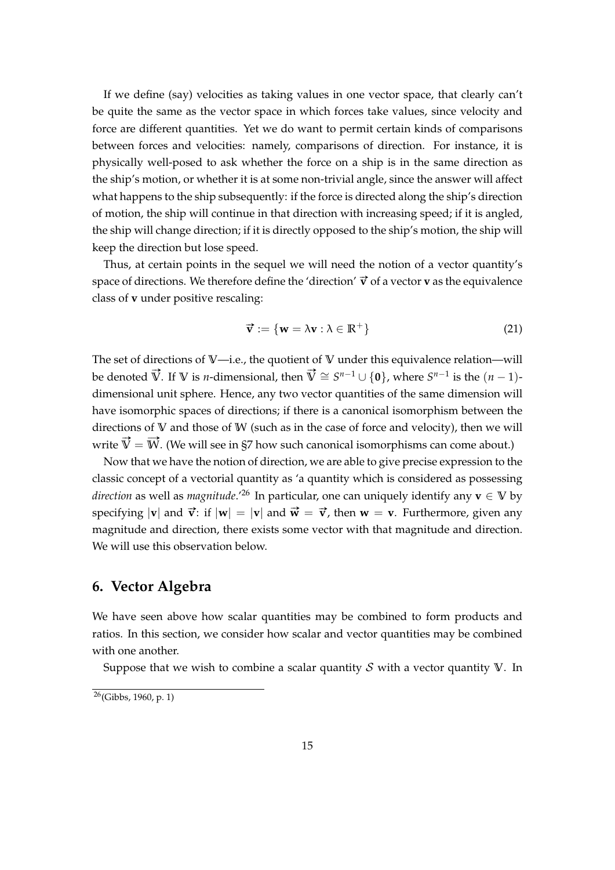If we define (say) velocities as taking values in one vector space, that clearly can't be quite the same as the vector space in which forces take values, since velocity and force are different quantities. Yet we do want to permit certain kinds of comparisons between forces and velocities: namely, comparisons of direction. For instance, it is physically well-posed to ask whether the force on a ship is in the same direction as the ship's motion, or whether it is at some non-trivial angle, since the answer will affect what happens to the ship subsequently: if the force is directed along the ship's direction of motion, the ship will continue in that direction with increasing speed; if it is angled, the ship will change direction; if it is directly opposed to the ship's motion, the ship will keep the direction but lose speed.

Thus, at certain points in the sequel we will need the notion of a vector quantity's space of directions. We therefore define the 'direction'  $\vec{v}$  of a vector **v** as the equivalence class of **v** under positive rescaling:

$$
\vec{\mathbf{v}} := \{\mathbf{w} = \lambda \mathbf{v} : \lambda \in \mathbb{R}^+\}\
$$
 (21)

The set of directions of **V**—i.e., the quotient of **V** under this equivalence relation—will be denoted  $\vec{V}$ . If  $V$  is *n*-dimensional, then  $\vec{V} \cong S^{n-1} \cup \{0\}$ , where  $S^{n-1}$  is the  $(n-1)$ dimensional unit sphere. Hence, any two vector quantities of the same dimension will have isomorphic spaces of directions; if there is a canonical isomorphism between the directions of **V** and those of **W** (such as in the case of force and velocity), then we will write  $\vec{V} = \vec{W}$ . (We will see in [§7](#page-16-0) how such canonical isomorphisms can come about.)

Now that we have the notion of direction, we are able to give precise expression to the classic concept of a vectorial quantity as 'a quantity which is considered as possessing *direction* as well as *magnitude*.<sup>'[26](#page-14-1)</sup> In particular, one can uniquely identify any **v**  $\in$  **V** by specifying  $|\mathbf{v}|$  and  $\vec{\mathbf{v}}$ : if  $|\mathbf{w}| = |\mathbf{v}|$  and  $\vec{\mathbf{w}} = \vec{\mathbf{v}}$ , then  $\mathbf{w} = \mathbf{v}$ . Furthermore, given any magnitude and direction, there exists some vector with that magnitude and direction. We will use this observation below.

# <span id="page-14-0"></span>**6. Vector Algebra**

We have seen above how scalar quantities may be combined to form products and ratios. In this section, we consider how scalar and vector quantities may be combined with one another.

Suppose that we wish to combine a scalar quantity  $S$  with a vector quantity  $V$ . In

<span id="page-14-1"></span> $\sqrt[26]{(Gibbs, 1960, p. 1)}$  $\sqrt[26]{(Gibbs, 1960, p. 1)}$  $\sqrt[26]{(Gibbs, 1960, p. 1)}$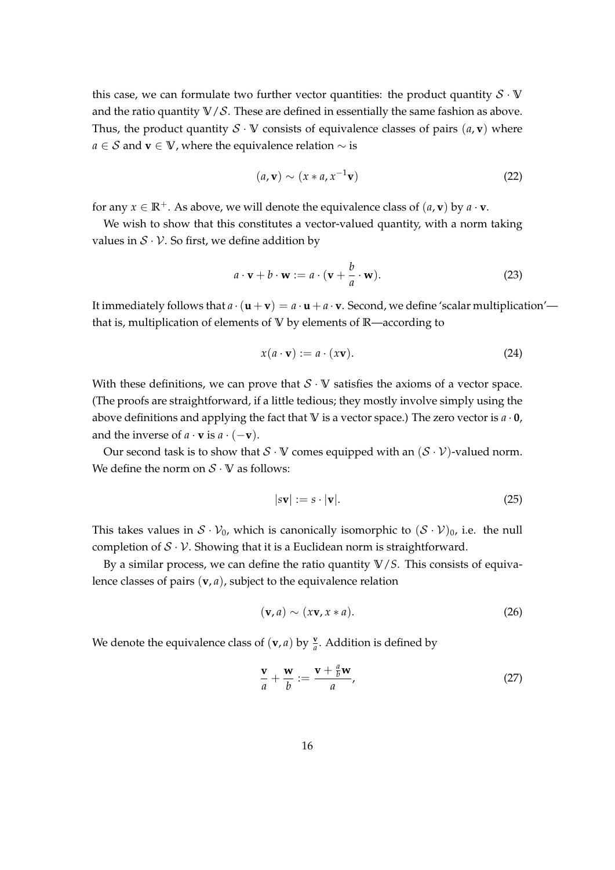this case, we can formulate two further vector quantities: the product quantity  $S \cdot V$ and the ratio quantity  $V/S$ . These are defined in essentially the same fashion as above. Thus, the product quantity  $S \cdot V$  consists of equivalence classes of pairs  $(a, v)$  where *a* ∈ S and **v** ∈ **V**, where the equivalence relation ∼ is

$$
(a, \mathbf{v}) \sim (x * a, x^{-1} \mathbf{v})
$$
\n(22)

for any  $x \in \mathbb{R}^+$ . As above, we will denote the equivalence class of  $(a, \mathbf{v})$  by  $a \cdot \mathbf{v}$ .

We wish to show that this constitutes a vector-valued quantity, with a norm taking values in  $S \cdot V$ . So first, we define addition by

$$
a \cdot \mathbf{v} + b \cdot \mathbf{w} := a \cdot (\mathbf{v} + \frac{b}{a} \cdot \mathbf{w}).
$$
 (23)

It immediately follows that  $a \cdot (\mathbf{u} + \mathbf{v}) = a \cdot \mathbf{u} + a \cdot \mathbf{v}$ . Second, we define 'scalar multiplication' that is, multiplication of elements of **V** by elements of **R**—according to

$$
x(a \cdot \mathbf{v}) := a \cdot (x\mathbf{v}). \tag{24}
$$

With these definitions, we can prove that  $S \cdot V$  satisfies the axioms of a vector space. (The proofs are straightforward, if a little tedious; they mostly involve simply using the above definitions and applying the fact that **V** is a vector space.) The zero vector is *a* · **0**, and the inverse of  $a \cdot \mathbf{v}$  is  $a \cdot (-\mathbf{v})$ .

Our second task is to show that  $S \cdot V$  comes equipped with an  $(S \cdot V)$ -valued norm. We define the norm on  $S \cdot V$  as follows:

$$
|s\mathbf{v}| := s \cdot |\mathbf{v}|. \tag{25}
$$

This takes values in  $S \cdot V_0$ , which is canonically isomorphic to  $(S \cdot V)_0$ , i.e. the null completion of  $S \cdot V$ . Showing that it is a Euclidean norm is straightforward.

By a similar process, we can define the ratio quantity **V**/*S*. This consists of equivalence classes of pairs (**v**, *a*), subject to the equivalence relation

$$
(\mathbf{v}, a) \sim (x\mathbf{v}, x * a). \tag{26}
$$

We denote the equivalence class of  $(\mathbf{v}, a)$  by  $\frac{\mathbf{v}}{a}$ . Addition is defined by

$$
\frac{\mathbf{v}}{a} + \frac{\mathbf{w}}{b} := \frac{\mathbf{v} + \frac{a}{b}\mathbf{w}}{a},\tag{27}
$$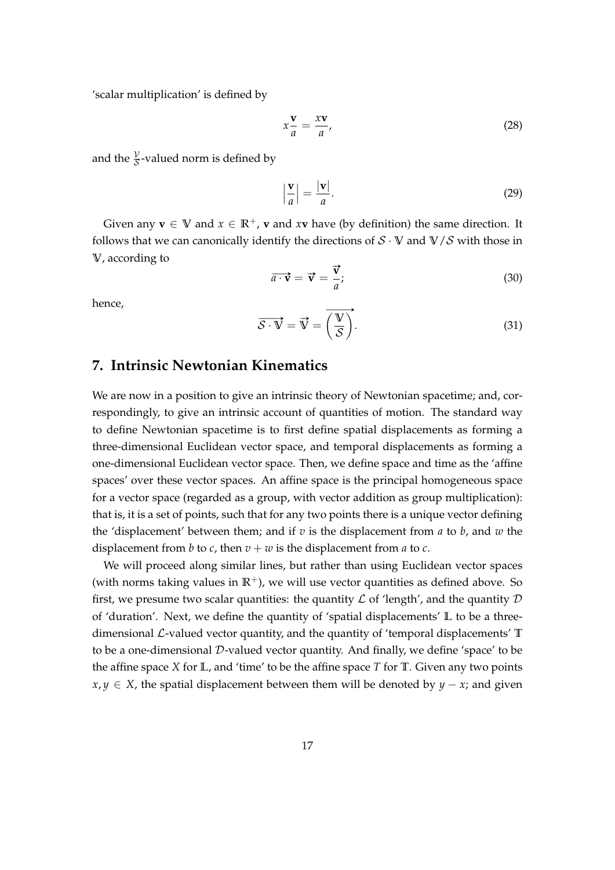'scalar multiplication' is defined by

$$
x\frac{\mathbf{v}}{a} = \frac{x\mathbf{v}}{a},\tag{28}
$$

and the  $\frac{y}{\mathcal{S}}$ -valued norm is defined by

$$
\left|\frac{\mathbf{v}}{a}\right| = \frac{|\mathbf{v}|}{a}.\tag{29}
$$

Given any  $\mathbf{v} \in \mathbb{V}$  and  $x \in \mathbb{R}^+$ , **v** and  $x\mathbf{v}$  have (by definition) the same direction. It follows that we can canonically identify the directions of  $S \cdot V$  and  $V/S$  with those in **V**, according to

$$
\overrightarrow{a \cdot \mathbf{v}} = \overrightarrow{\mathbf{v}} = \frac{\overrightarrow{\mathbf{v}}}{a};
$$
\n(30)

hence,

$$
\overrightarrow{\mathcal{S}\cdot V} = \overrightarrow{V} = \overrightarrow{\left(\frac{V}{\mathcal{S}}\right)}.
$$
\n(31)

# <span id="page-16-0"></span>**7. Intrinsic Newtonian Kinematics**

We are now in a position to give an intrinsic theory of Newtonian spacetime; and, correspondingly, to give an intrinsic account of quantities of motion. The standard way to define Newtonian spacetime is to first define spatial displacements as forming a three-dimensional Euclidean vector space, and temporal displacements as forming a one-dimensional Euclidean vector space. Then, we define space and time as the 'affine spaces' over these vector spaces. An affine space is the principal homogeneous space for a vector space (regarded as a group, with vector addition as group multiplication): that is, it is a set of points, such that for any two points there is a unique vector defining the 'displacement' between them; and if *v* is the displacement from *a* to *b*, and *w* the displacement from *b* to *c*, then  $v + w$  is the displacement from *a* to *c*.

We will proceed along similar lines, but rather than using Euclidean vector spaces (with norms taking values in  $\mathbb{R}^+$ ), we will use vector quantities as defined above. So first, we presume two scalar quantities: the quantity  $\mathcal L$  of 'length', and the quantity  $\mathcal D$ of 'duration'. Next, we define the quantity of 'spatial displacements' **L** to be a threedimensional L-valued vector quantity, and the quantity of 'temporal displacements' **T** to be a one-dimensional D-valued vector quantity. And finally, we define 'space' to be the affine space *X* for **L**, and 'time' to be the affine space *T* for **T**. Given any two points *x*, *y* ∈ *X*, the spatial displacement between them will be denoted by *y* − *x*; and given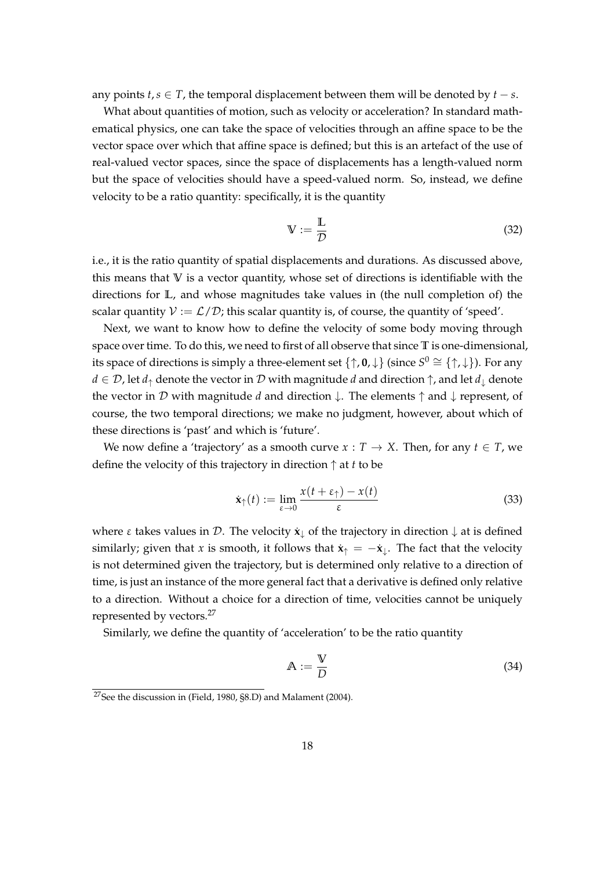any points  $t, s \in T$ , the temporal displacement between them will be denoted by  $t - s$ .

What about quantities of motion, such as velocity or acceleration? In standard mathematical physics, one can take the space of velocities through an affine space to be the vector space over which that affine space is defined; but this is an artefact of the use of real-valued vector spaces, since the space of displacements has a length-valued norm but the space of velocities should have a speed-valued norm. So, instead, we define velocity to be a ratio quantity: specifically, it is the quantity

$$
\mathbb{V} := \frac{\mathbb{L}}{\mathcal{D}} \tag{32}
$$

i.e., it is the ratio quantity of spatial displacements and durations. As discussed above, this means that **V** is a vector quantity, whose set of directions is identifiable with the directions for **L**, and whose magnitudes take values in (the null completion of) the scalar quantity  $V := \mathcal{L}/\mathcal{D}$ ; this scalar quantity is, of course, the quantity of 'speed'.

Next, we want to know how to define the velocity of some body moving through space over time. To do this, we need to first of all observe that since **T** is one-dimensional, its space of directions is simply a three-element set  $\{\uparrow, \mathbf{0}, \downarrow\}$  (since  $S^0 \cong \{\uparrow, \downarrow\}$ ). For any  $d \in \mathcal{D}$ , let  $d_{\uparrow}$  denote the vector in  $\mathcal D$  with magnitude *d* and direction  $\uparrow$ , and let  $d_{\perp}$  denote the vector in D with magnitude *d* and direction ↓. The elements ↑ and ↓ represent, of course, the two temporal directions; we make no judgment, however, about which of these directions is 'past' and which is 'future'.

We now define a 'trajectory' as a smooth curve  $x : T \rightarrow X$ . Then, for any  $t \in T$ , we define the velocity of this trajectory in direction ↑ at *t* to be

$$
\dot{\mathbf{x}}_{\uparrow}(t) := \lim_{\varepsilon \to 0} \frac{x(t + \varepsilon_{\uparrow}) - x(t)}{\varepsilon} \tag{33}
$$

where  $\varepsilon$  takes values in  $\mathcal{D}$ . The velocity  $\dot{\mathbf{x}}_{\downarrow}$  of the trajectory in direction  $\downarrow$  at is defined similarly; given that *x* is smooth, it follows that  $\dot{\mathbf{x}}_T = -\dot{\mathbf{x}}_T$ . The fact that the velocity is not determined given the trajectory, but is determined only relative to a direction of time, is just an instance of the more general fact that a derivative is defined only relative to a direction. Without a choice for a direction of time, velocities cannot be uniquely represented by vectors.<sup>[27](#page-17-0)</sup>

Similarly, we define the quantity of 'acceleration' to be the ratio quantity

$$
\mathbb{A} := \frac{\mathbb{V}}{D} \tag{34}
$$

<span id="page-17-0"></span> $27$ See the discussion in [\(Field, 1980,](#page-32-0) §8.D) and [Malament](#page-33-10) [\(2004\)](#page-33-10).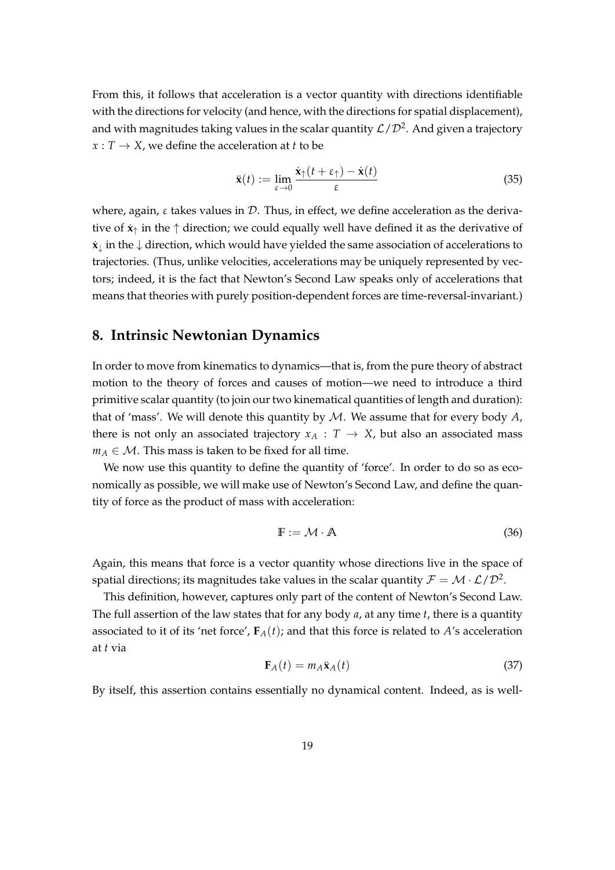From this, it follows that acceleration is a vector quantity with directions identifiable with the directions for velocity (and hence, with the directions for spatial displacement), and with magnitudes taking values in the scalar quantity  $\mathcal{L}/\mathcal{D}^2.$  And given a trajectory  $x: T \rightarrow X$ , we define the acceleration at *t* to be

$$
\ddot{\mathbf{x}}(t) := \lim_{\varepsilon \to 0} \frac{\dot{\mathbf{x}}_1(t + \varepsilon_1) - \dot{\mathbf{x}}(t)}{\varepsilon} \tag{35}
$$

where, again,  $\varepsilon$  takes values in  $\mathcal{D}$ . Thus, in effect, we define acceleration as the derivative of  $\dot{\mathbf{x}}_{\uparrow}$  in the  $\uparrow$  direction; we could equally well have defined it as the derivative of  $\dot{x}_\perp$  in the  $\downarrow$  direction, which would have yielded the same association of accelerations to trajectories. (Thus, unlike velocities, accelerations may be uniquely represented by vectors; indeed, it is the fact that Newton's Second Law speaks only of accelerations that means that theories with purely position-dependent forces are time-reversal-invariant.)

#### <span id="page-18-0"></span>**8. Intrinsic Newtonian Dynamics**

In order to move from kinematics to dynamics—that is, from the pure theory of abstract motion to the theory of forces and causes of motion—we need to introduce a third primitive scalar quantity (to join our two kinematical quantities of length and duration): that of 'mass'. We will denote this quantity by M. We assume that for every body *A*, there is not only an associated trajectory  $x_A : T \rightarrow X$ , but also an associated mass  $m_A \in \mathcal{M}$ . This mass is taken to be fixed for all time.

We now use this quantity to define the quantity of 'force'. In order to do so as economically as possible, we will make use of Newton's Second Law, and define the quantity of force as the product of mass with acceleration:

$$
\mathbb{F} := \mathcal{M} \cdot \mathbb{A} \tag{36}
$$

Again, this means that force is a vector quantity whose directions live in the space of spatial directions; its magnitudes take values in the scalar quantity  $\mathcal{F} = \mathcal{M}\cdot\mathcal{L}/\mathcal{D}^2.$ 

This definition, however, captures only part of the content of Newton's Second Law. The full assertion of the law states that for any body *a*, at any time *t*, there is a quantity associated to it of its 'net force',  $\mathbf{F}_{A}(t)$ ; and that this force is related to *A*'s acceleration at *t* via

<span id="page-18-1"></span>
$$
\mathbf{F}_A(t) = m_A \ddot{\mathbf{x}}_A(t) \tag{37}
$$

By itself, this assertion contains essentially no dynamical content. Indeed, as is well-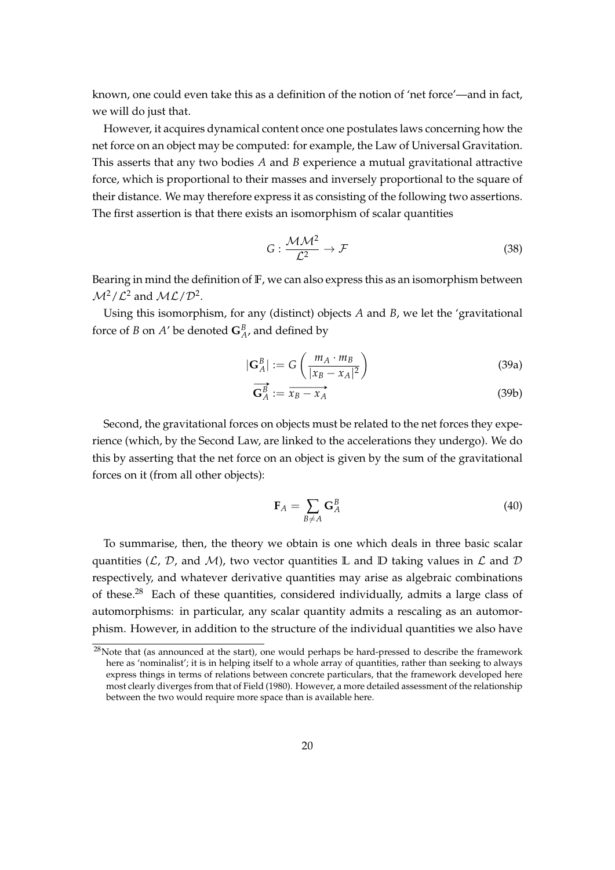known, one could even take this as a definition of the notion of 'net force'—and in fact, we will do just that.

However, it acquires dynamical content once one postulates laws concerning how the net force on an object may be computed: for example, the Law of Universal Gravitation. This asserts that any two bodies *A* and *B* experience a mutual gravitational attractive force, which is proportional to their masses and inversely proportional to the square of their distance. We may therefore express it as consisting of the following two assertions. The first assertion is that there exists an isomorphism of scalar quantities

$$
G: \frac{\mathcal{M}\mathcal{M}^2}{\mathcal{L}^2} \to \mathcal{F}
$$
 (38)

Bearing in mind the definition of **F**, we can also express this as an isomorphism between  $\mathcal{M}^2/\mathcal{L}^2$  and  $\mathcal{ML}/\mathcal{D}^2$ .

Using this isomorphism, for any (distinct) objects *A* and *B*, we let the 'gravitational force of *B* on *A'* be denoted  $\mathbf{G}_{A}^{B}$ , and defined by

<span id="page-19-1"></span>
$$
|\mathbf{G}_{A}^{B}| := G\left(\frac{m_{A} \cdot m_{B}}{|x_{B} - x_{A}|^{2}}\right)
$$
(39a)

$$
\mathbf{G}_A^B := \overrightarrow{x_B - x_A} \tag{39b}
$$

Second, the gravitational forces on objects must be related to the net forces they experience (which, by the Second Law, are linked to the accelerations they undergo). We do this by asserting that the net force on an object is given by the sum of the gravitational forces on it (from all other objects):

<span id="page-19-2"></span>
$$
\mathbf{F}_A = \sum_{B \neq A} \mathbf{G}_A^B \tag{40}
$$

To summarise, then, the theory we obtain is one which deals in three basic scalar quantities  $(L, D, A)$ , two vector quantities L and D taking values in L and D respectively, and whatever derivative quantities may arise as algebraic combinations of these.<sup>[28](#page-19-0)</sup> Each of these quantities, considered individually, admits a large class of automorphisms: in particular, any scalar quantity admits a rescaling as an automorphism. However, in addition to the structure of the individual quantities we also have

<span id="page-19-0"></span><sup>&</sup>lt;sup>28</sup>Note that (as announced at the start), one would perhaps be hard-pressed to describe the framework here as 'nominalist'; it is in helping itself to a whole array of quantities, rather than seeking to always express things in terms of relations between concrete particulars, that the framework developed here most clearly diverges from that of [Field](#page-32-0) [\(1980\)](#page-32-0). However, a more detailed assessment of the relationship between the two would require more space than is available here.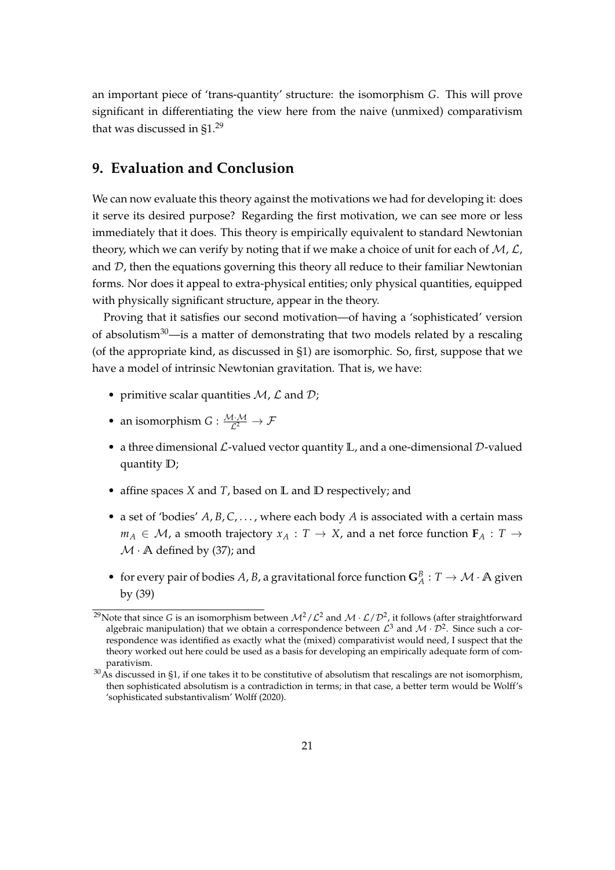an important piece of 'trans-quantity' structure: the isomorphism *G*. This will prove significant in differentiating the view here from the naive (unmixed) comparativism that was discussed in [§1.](#page-1-0)<sup>[29](#page-20-1)</sup>

#### <span id="page-20-0"></span>**9. Evaluation and Conclusion**

We can now evaluate this theory against the motivations we had for developing it: does it serve its desired purpose? Regarding the first motivation, we can see more or less immediately that it does. This theory is empirically equivalent to standard Newtonian theory, which we can verify by noting that if we make a choice of unit for each of  $M$ ,  $\mathcal{L}$ , and  $D$ , then the equations governing this theory all reduce to their familiar Newtonian forms. Nor does it appeal to extra-physical entities; only physical quantities, equipped with physically significant structure, appear in the theory.

Proving that it satisfies our second motivation—of having a 'sophisticated' version of absolutism $30$ —is a matter of demonstrating that two models related by a rescaling (of the appropriate kind, as discussed in [§1\)](#page-1-0) are isomorphic. So, first, suppose that we have a model of intrinsic Newtonian gravitation. That is, we have:

- primitive scalar quantities  $M$ ,  $\mathcal L$  and  $\mathcal D$ ;
- an isomorphism  $G: \frac{\mathcal{M} \cdot \mathcal{M}}{\mathcal{L}^2} \to \mathcal{F}$
- a three dimensional L-valued vector quantity **L**, and a one-dimensional D-valued quantity **D**;
- affine spaces *X* and *T*, based on **L** and **D** respectively; and
- a set of 'bodies' *A*, *B*, *C*, . . . , where each body *A* is associated with a certain mass  $m_A \in \mathcal{M}$ , a smooth trajectory  $x_A : T \to X$ , and a net force function  $\mathbf{F}_A : T \to T$  $M \cdot A$  defined by [\(37\)](#page-18-1); and
- for every pair of bodies A, B, a gravitational force function  $\mathbf{G}_{A}^{B}: T \to \mathcal{M} \cdot \mathbf{A}$  given by [\(39\)](#page-19-1)

<span id="page-20-1"></span><sup>&</sup>lt;sup>29</sup>Note that since G is an isomorphism between  $\mathcal{M}^2/\mathcal{L}^2$  and  $\mathcal{M} \cdot \mathcal{L}/\mathcal{D}^2$ , it follows (after straightforward algebraic manipulation) that we obtain a correspondence between  $\mathcal{L}^3$  and  $\mathcal{M} \cdot \mathcal{D}^2$ . Since such a correspondence was identified as exactly what the (mixed) comparativist would need, I suspect that the theory worked out here could be used as a basis for developing an empirically adequate form of comparativism.

<span id="page-20-2"></span> $30$ As discussed in [§1,](#page-1-0) if one takes it to be constitutive of absolutism that rescalings are not isomorphism, then sophisticated absolutism is a contradiction in terms; in that case, a better term would be Wolff's 'sophisticated substantivalism' [Wolff](#page-34-0) [\(2020\)](#page-34-0).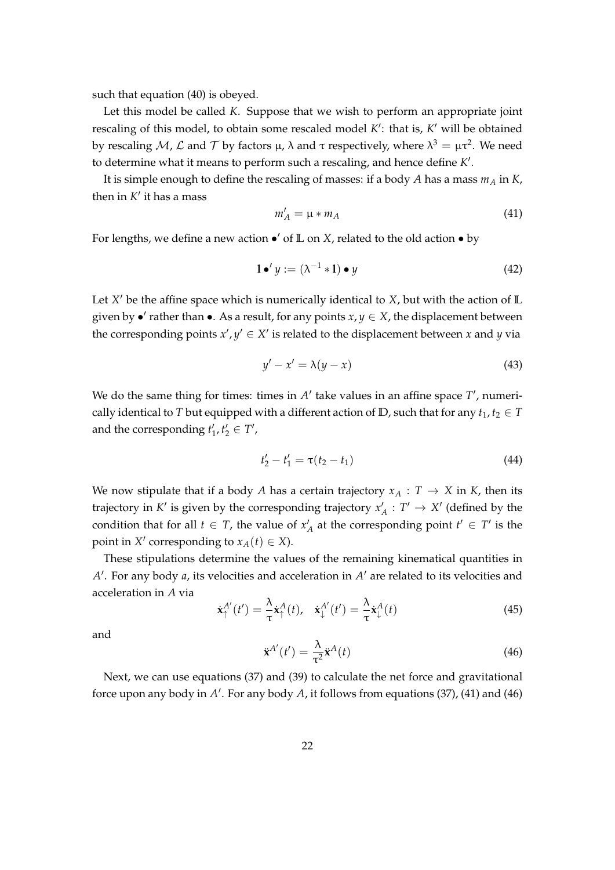such that equation [\(40\)](#page-19-2) is obeyed.

Let this model be called *K*. Suppose that we wish to perform an appropriate joint rescaling of this model, to obtain some rescaled model K': that is, K' will be obtained by rescaling M, L and T by factors μ, λ and τ respectively, where  $\lambda^3 = \mu \tau^2$ . We need to determine what it means to perform such a rescaling, and hence define K'.

It is simple enough to define the rescaling of masses: if a body *A* has a mass *m<sup>A</sup>* in *K*, then in  $K'$  it has a mass

<span id="page-21-0"></span>
$$
m'_A = \mu * m_A \tag{41}
$$

For lengths, we define a new action  $\bullet'$  of  $\mathbb L$  on  $X$ , related to the old action  $\bullet$  by

$$
1 \bullet' y := (\lambda^{-1} * 1) \bullet y \tag{42}
$$

Let *X'* be the affine space which is numerically identical to *X*, but with the action of L given by  $\bullet'$  rather than  $\bullet$ . As a result, for any points  $x, y \in X$ , the displacement between the corresponding points  $x'$ ,  $y' \in X'$  is related to the displacement between *x* and *y* via

$$
y' - x' = \lambda(y - x) \tag{43}
$$

We do the same thing for times: times in  $A'$  take values in an affine space  $T'$ , numerically identical to *T* but equipped with a different action of **D**, such that for any  $t_1, t_2 \in T$ and the corresponding  $t'_1, t'_2 \in T'$ ,

$$
t_2' - t_1' = \tau(t_2 - t_1) \tag{44}
$$

We now stipulate that if a body *A* has a certain trajectory  $x_A : T \to X$  in *K*, then its trajectory in  $K'$  is given by the corresponding trajectory  $x'_A : T' \to X'$  (defined by the condition that for all  $t \in T$ , the value of  $x'_{A}$  at the corresponding point  $t' \in T'$  is the point in *X'* corresponding to  $x_A(t) \in X$ ).

These stipulations determine the values of the remaining kinematical quantities in A<sup>'</sup>. For any body *a*, its velocities and acceleration in A<sup>'</sup> are related to its velocities and acceleration in *A* via

$$
\dot{\mathbf{x}}_{\uparrow}^{A'}(t') = \frac{\lambda}{\tau} \dot{\mathbf{x}}_{\uparrow}^{A}(t), \quad \dot{\mathbf{x}}_{\downarrow}^{A'}(t') = \frac{\lambda}{\tau} \dot{\mathbf{x}}_{\downarrow}^{A}(t) \tag{45}
$$

and

<span id="page-21-1"></span>
$$
\ddot{\mathbf{x}}^{A'}(t') = \frac{\lambda}{\tau^2} \ddot{\mathbf{x}}^A(t)
$$
 (46)

Next, we can use equations [\(37\)](#page-18-1) and [\(39\)](#page-19-1) to calculate the net force and gravitational force upon any body in A<sup>'</sup>. For any body A, it follows from equations [\(37\)](#page-18-1), [\(41\)](#page-21-0) and [\(46\)](#page-21-1)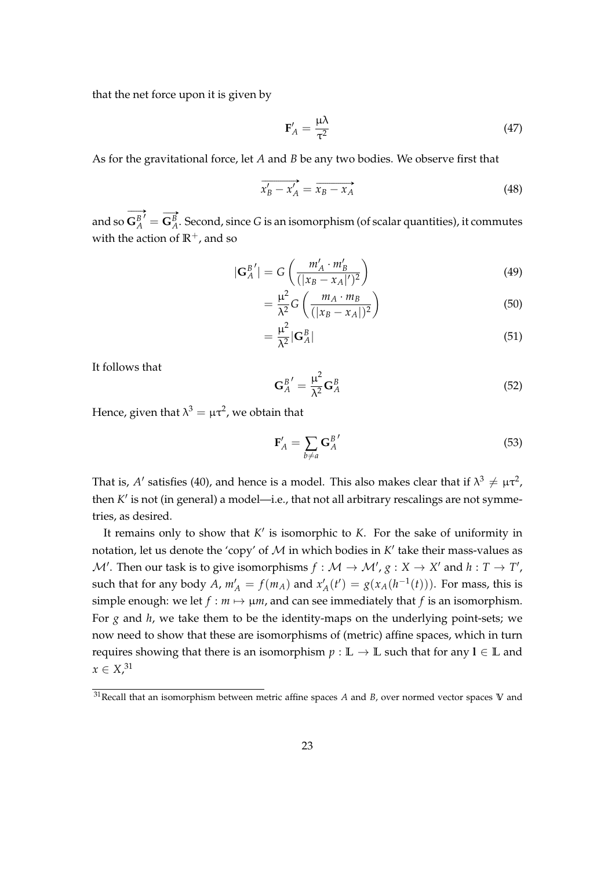that the net force upon it is given by

$$
\mathbf{F}'_A = \frac{\mu \lambda}{\tau^2} \tag{47}
$$

As for the gravitational force, let *A* and *B* be any two bodies. We observe first that

$$
\overrightarrow{x'_B - x'_A} = \overrightarrow{x_B - x_A}
$$
 (48)

and so  $\longrightarrow$  $\overrightarrow{\mathbf{G}_{A}^{B}}' = \overrightarrow{\mathbf{G}_{A}^{B}}$  $\mathbf{G}_{A}^{B}$ . Second, since *G* is an isomorphism (of scalar quantities), it commutes with the action of  $\mathbb{R}^+$ , and so

$$
|\mathbf{G}_{A}^{B'}| = G\left(\frac{m'_{A} \cdot m'_{B}}{(|x_{B} - x_{A}|')^{2}}\right)
$$
(49)

$$
= \frac{\mu^2}{\lambda^2} G\left(\frac{m_A \cdot m_B}{(|x_B - x_A|)^2}\right) \tag{50}
$$

$$
=\frac{\mu^2}{\lambda^2}|\mathbf{G}_A^B|
$$
\n(51)

It follows that

$$
\mathbf{G}_{A}^{B'} = \frac{\mu^2}{\lambda^2} \mathbf{G}_{A}^{B}
$$
 (52)

Hence, given that  $\lambda^3 = \mu \tau^2$ , we obtain that

$$
\mathbf{F}'_A = \sum_{b \neq a} \mathbf{G}_A^{B'} \tag{53}
$$

That is, A' satisfies [\(40\)](#page-19-2), and hence is a model. This also makes clear that if  $\lambda^3 \neq \mu \tau^2$ , then *K'* is not (in general) a model—i.e., that not all arbitrary rescalings are not symmetries, as desired.

It remains only to show that  $K'$  is isomorphic to  $K$ . For the sake of uniformity in notation, let us denote the 'copy' of  $\mathcal M$  in which bodies in  $K'$  take their mass-values as  $\mathcal{M}'$ . Then our task is to give isomorphisms  $f : \mathcal{M} \to \mathcal{M}'$ ,  $g : X \to X'$  and  $h : T \to T'$ , such that for any body *A*,  $m'_A = f(m_A)$  and  $x'_A(t') = g(x_A(h^{-1}(t)))$ . For mass, this is simple enough: we let  $f : m \mapsto \mu m$ , and can see immediately that  $f$  is an isomorphism. For *g* and *h*, we take them to be the identity-maps on the underlying point-sets; we now need to show that these are isomorphisms of (metric) affine spaces, which in turn requires showing that there is an isomorphism  $p : \mathbb{L} \to \mathbb{L}$  such that for any  $l \in \mathbb{L}$  and  $x \in X^{31}$  $x \in X^{31}$  $x \in X^{31}$ 

<span id="page-22-0"></span><sup>31</sup>Recall that an isomorphism between metric affine spaces *A* and *B*, over normed vector spaces **V** and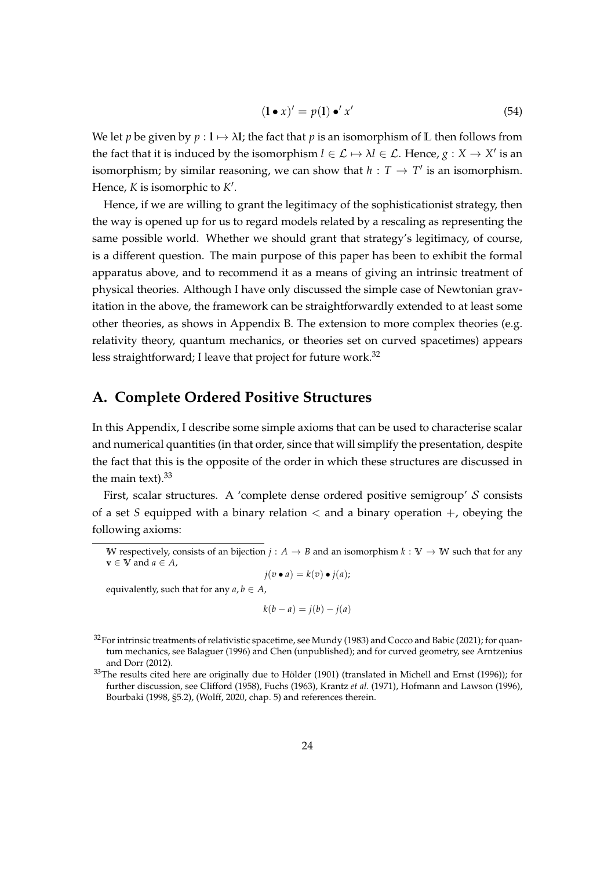$$
(\mathbf{1} \bullet x)' = p(\mathbf{1}) \bullet' x'
$$
\n(54)

We let *p* be given by  $p: \mathbf{l} \mapsto \lambda \mathbf{l}$ ; the fact that *p* is an isomorphism of **L** then follows from the fact that it is induced by the isomorphism  $l \in \mathcal{L} \mapsto \lambda l \in \mathcal{L}$ . Hence,  $g: X \to X'$  is an isomorphism; by similar reasoning, we can show that  $h: T \to T'$  is an isomorphism. Hence,  $K$  is isomorphic to  $K'$ .

Hence, if we are willing to grant the legitimacy of the sophisticationist strategy, then the way is opened up for us to regard models related by a rescaling as representing the same possible world. Whether we should grant that strategy's legitimacy, of course, is a different question. The main purpose of this paper has been to exhibit the formal apparatus above, and to recommend it as a means of giving an intrinsic treatment of physical theories. Although I have only discussed the simple case of Newtonian gravitation in the above, the framework can be straightforwardly extended to at least some other theories, as shows in Appendix [B.](#page-29-0) The extension to more complex theories (e.g. relativity theory, quantum mechanics, or theories set on curved spacetimes) appears less straightforward; I leave that project for future work.<sup>[32](#page-23-1)</sup>

# <span id="page-23-0"></span>**A. Complete Ordered Positive Structures**

In this Appendix, I describe some simple axioms that can be used to characterise scalar and numerical quantities (in that order, since that will simplify the presentation, despite the fact that this is the opposite of the order in which these structures are discussed in the main text). $33$ 

First, scalar structures. A 'complete dense ordered positive semigroup' S consists of a set *S* equipped with a binary relation  $\lt$  and a binary operation  $+$ , obeying the following axioms:

equivalently, such that for any  $a, b \in A$ ,

$$
k(b-a) = j(b) - j(a)
$$

**W** respectively, consists of an bijection  $j : A \rightarrow B$  and an isomorphism  $k : V \rightarrow W$  such that for any  $\mathbf{v} \in \mathbb{V}$  and  $a \in A$ ,  $j(v \bullet a) = k(v) \bullet j(a);$ 

<span id="page-23-1"></span><sup>&</sup>lt;sup>32</sup>For intrinsic treatments of relativistic spacetime, see [Mundy](#page-33-11) [\(1983\)](#page-33-11) and [Cocco and Babic](#page-32-10) [\(2021\)](#page-32-10); for quantum mechanics, see [Balaguer](#page-31-3) [\(1996\)](#page-31-3) and [Chen](#page-31-4) [\(unpublished\)](#page-31-4); and for curved geometry, see [Arntzenius](#page-31-5) [and Dorr](#page-31-5) [\(2012\)](#page-31-5).

<span id="page-23-2"></span> $33$ The results cited here are originally due to Hölder [\(1901\)](#page-32-7) (translated in [Michell and Ernst](#page-33-12) [\(1996\)](#page-33-12)); for further discussion, see [Clifford](#page-31-6) [\(1958\)](#page-31-6), [Fuchs](#page-32-11) [\(1963\)](#page-32-11), [Krantz](#page-33-7) *et al.* [\(1971\)](#page-33-7), [Hofmann and Lawson](#page-32-12) [\(1996\)](#page-32-12), [Bourbaki](#page-31-7) [\(1998,](#page-31-7) §5.2), [\(Wolff, 2020,](#page-34-0) chap. 5) and references therein.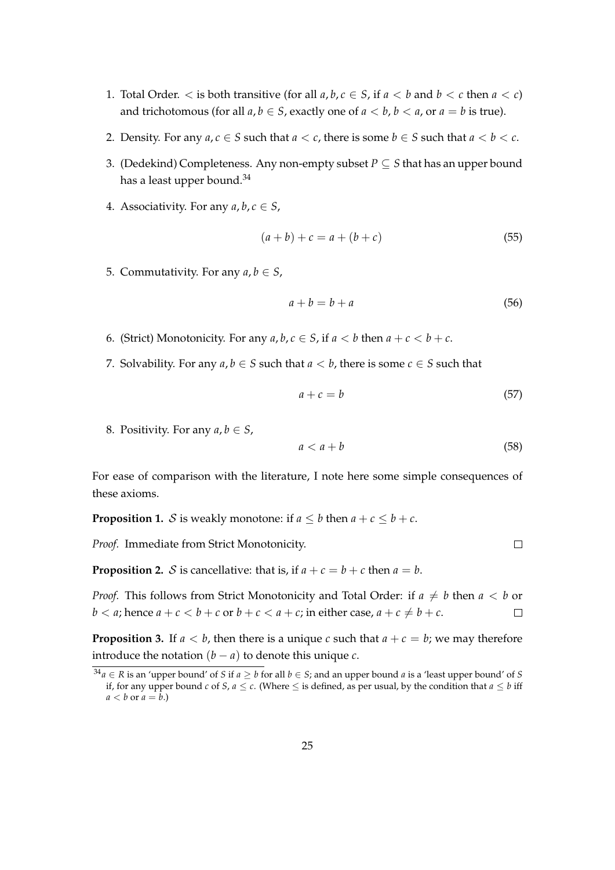- 1. Total Order.  $\lt$  is both transitive (for all  $a, b, c \in S$ , if  $a \lt b$  and  $b \lt c$  then  $a \lt c$ ) and trichotomous (for all  $a, b \in S$ , exactly one of  $a < b, b < a$ , or  $a = b$  is true).
- 2. Density. For any  $a, c \in S$  such that  $a < c$ , there is some  $b \in S$  such that  $a < b < c$ .
- 3. (Dedekind) Completeness. Any non-empty subset  $P \subseteq S$  that has an upper bound has a least upper bound.<sup>[34](#page-24-0)</sup>
- 4. Associativity. For any  $a, b, c \in S$ ,

$$
(a+b) + c = a + (b+c)
$$
 (55)

5. Commutativity. For any  $a, b \in S$ ,

$$
a + b = b + a \tag{56}
$$

- 6. (Strict) Monotonicity. For any  $a, b, c \in S$ , if  $a < b$  then  $a + c < b + c$ .
- 7. Solvability. For any  $a, b \in S$  such that  $a < b$ , there is some  $c \in S$  such that

$$
a + c = b \tag{57}
$$

8. Positivity. For any  $a, b \in S$ ,

$$
a < a + b \tag{58}
$$

 $\Box$ 

For ease of comparison with the literature, I note here some simple consequences of these axioms.

<span id="page-24-2"></span>**Proposition 1.** S is weakly monotone: if  $a \leq b$  then  $a + c \leq b + c$ .

*Proof.* Immediate from Strict Monotonicity.

<span id="page-24-1"></span>**Proposition 2.** S is cancellative: that is, if  $a + c = b + c$  then  $a = b$ .

*Proof.* This follows from Strict Monotonicity and Total Order: if  $a \neq b$  then  $a < b$  or  $b < a$ ; hence  $a + c < b + c$  or  $b + c < a + c$ ; in either case,  $a + c \neq b + c$ .  $\Box$ 

**Proposition 3.** If  $a < b$ , then there is a unique *c* such that  $a + c = b$ ; we may therefore introduce the notation  $(b − a)$  to denote this unique  $c$ .

<span id="page-24-0"></span> $34a \in R$  is an 'upper bound' of *S* if  $a \geq b$  for all  $b \in S$ ; and an upper bound *a* is a 'least upper bound' of *S* if, for any upper bound *c* of *S*,  $a \le c$ . (Where  $\le$  is defined, as per usual, by the condition that  $a \le b$  iff  $a < b$  or  $a = b$ .)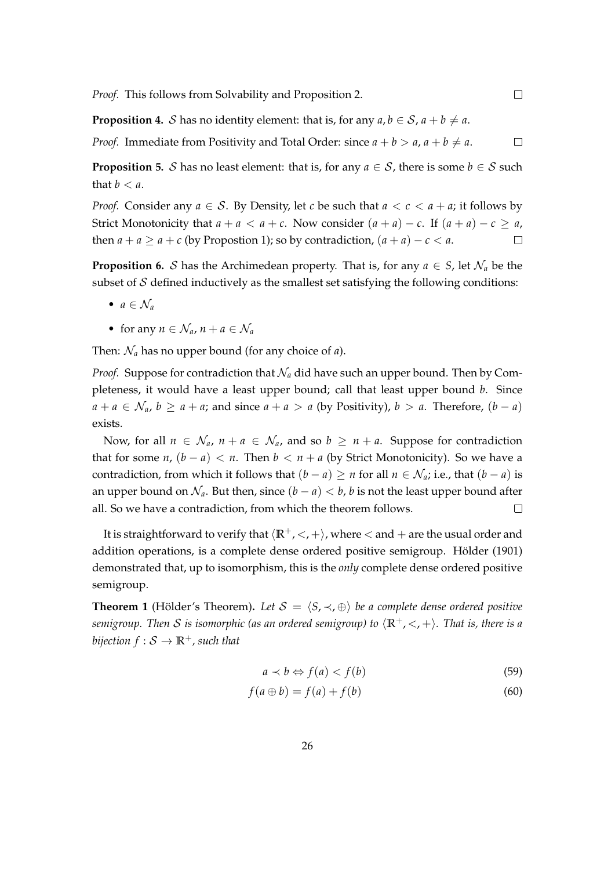*Proof.* This follows from Solvability and Proposition [2.](#page-24-1)

**Proposition 4.** *S* has no identity element: that is, for any  $a, b \in S$ ,  $a + b \neq a$ .

*Proof.* Immediate from Positivity and Total Order: since  $a + b > a$ ,  $a + b \neq a$ .  $\Box$ 

 $\Box$ 

**Proposition 5.** S has no least element: that is, for any  $a \in S$ , there is some  $b \in S$  such that  $b < a$ .

*Proof.* Consider any  $a \in S$ . By Density, let *c* be such that  $a < c < a + a$ ; it follows by Strict Monotonicity that  $a + a < a + c$ . Now consider  $(a + a) - c$ . If  $(a + a) - c \ge a$ , then  $a + a \ge a + c$  (by Propostion [1\)](#page-24-2); so by contradiction,  $(a + a) - c < a$ .  $\Box$ 

**Proposition 6.** S has the Archimedean property. That is, for any  $a \in S$ , let  $\mathcal{N}_a$  be the subset of  $S$  defined inductively as the smallest set satisfying the following conditions:

- $a \in \mathcal{N}_a$
- for any  $n \in \mathcal{N}_a$ ,  $n + a \in \mathcal{N}_a$

Then: N*<sup>a</sup>* has no upper bound (for any choice of *a*).

*Proof.* Suppose for contradiction that  $\mathcal{N}_a$  did have such an upper bound. Then by Completeness, it would have a least upper bound; call that least upper bound *b*. Since  $a + a \in \mathcal{N}_a$ ,  $b \ge a + a$ ; and since  $a + a > a$  (by Positivity),  $b > a$ . Therefore,  $(b - a)$ exists.

Now, for all  $n \in \mathcal{N}_a$ ,  $n + a \in \mathcal{N}_a$ , and so  $b \geq n + a$ . Suppose for contradiction that for some  $n$ ,  $(b - a) < n$ . Then  $b < n + a$  (by Strict Monotonicity). So we have a contradiction, from which it follows that  $(b - a) \ge n$  for all  $n \in \mathcal{N}_a$ ; i.e., that  $(b - a)$  is an upper bound on  $\mathcal{N}_a$ . But then, since  $(b - a) < b$ , *b* is not the least upper bound after all. So we have a contradiction, from which the theorem follows.  $\Box$ 

It is straightforward to verify that  $\langle \mathbb{R}^+, \langle , + \rangle$ , where  $\langle$  and  $+$  are the usual order and addition operations, is a complete dense ordered positive semigroup. Hölder [\(1901\)](#page-32-7) demonstrated that, up to isomorphism, this is the *only* complete dense ordered positive semigroup.

<span id="page-25-0"></span>**Theorem 1** (Hölder's Theorem). Let  $S = \langle S, \prec, \oplus \rangle$  be a complete dense ordered positive *semigroup. Then* S *is isomorphic (as an ordered semigroup)* to  $\langle \mathbb{R}^+, \langle , + \rangle$ *. That is, there is a bijection*  $f : \mathcal{S} \to \mathbb{R}^+$ *, such that* 

$$
a \prec b \Leftrightarrow f(a) < f(b) \tag{59}
$$

$$
f(a \oplus b) = f(a) + f(b) \tag{60}
$$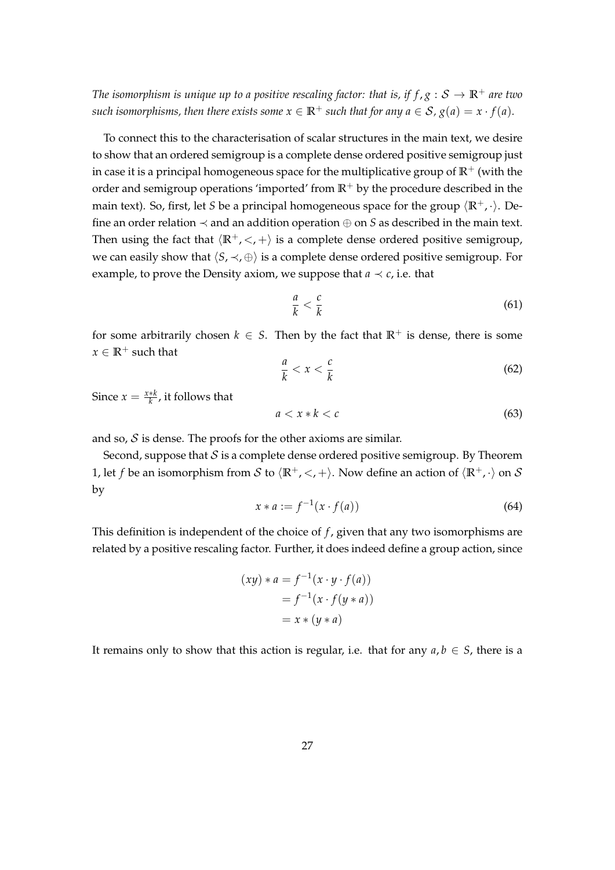*The isomorphism is unique up to a positive rescaling factor: that is, if*  $f$ *,*  $g : S \to \mathbb{R}^+$  *are two such isomorphisms, then there exists some*  $x \in \mathbb{R}^+$  *such that for any*  $a \in S$ ,  $g(a) = x \cdot f(a)$ *.* 

To connect this to the characterisation of scalar structures in the main text, we desire to show that an ordered semigroup is a complete dense ordered positive semigroup just in case it is a principal homogeneous space for the multiplicative group of  $\mathbb{R}^+$  (with the order and semigroup operations 'imported' from  $\mathbb{R}^+$  by the procedure described in the main text). So, first, let *S* be a principal homogeneous space for the group  $\langle \mathbb{R}^+, \cdot \rangle$ . Define an order relation  $\prec$  and an addition operation  $\oplus$  on *S* as described in the main text. Then using the fact that  $\langle \mathbb{R}^+, \langle \cdot, + \rangle$  is a complete dense ordered positive semigroup, we can easily show that  $\langle S, \prec, \oplus \rangle$  is a complete dense ordered positive semigroup. For example, to prove the Density axiom, we suppose that  $a \prec c$ , i.e. that

$$
\frac{a}{k} < \frac{c}{k} \tag{61}
$$

for some arbitrarily chosen  $k \in S$ . Then by the fact that  $\mathbb{R}^+$  is dense, there is some  $x \in \mathbb{R}^+$  such that

$$
\frac{a}{k} < x < \frac{c}{k} \tag{62}
$$

Since  $x = \frac{x*k}{k}$ , it follows that

$$
a < x * k < c \tag{63}
$$

and so,  $S$  is dense. The proofs for the other axioms are similar.

Second, suppose that  $S$  is a complete dense ordered positive semigroup. By Theorem [1,](#page-25-0) let *f* be an isomorphism from S to  $\langle \mathbb{R}^+, \langle , + \rangle$ . Now define an action of  $\langle \mathbb{R}^+, \cdot \rangle$  on S by

$$
x * a := f^{-1}(x \cdot f(a))
$$
 (64)

This definition is independent of the choice of *f* , given that any two isomorphisms are related by a positive rescaling factor. Further, it does indeed define a group action, since

$$
(xy) * a = f-1(x ⋅ y ⋅ f(a))
$$

$$
= f-1(x ⋅ f(y * a))
$$

$$
= x * (y * a)
$$

It remains only to show that this action is regular, i.e. that for any  $a, b \in S$ , there is a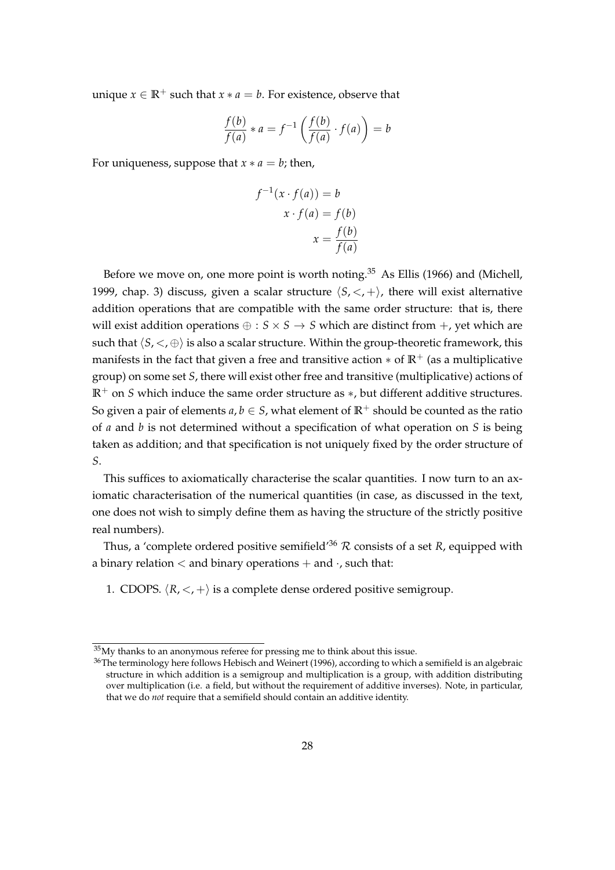unique  $x \in \mathbb{R}^+$  such that  $x * a = b$ . For existence, observe that

$$
\frac{f(b)}{f(a)} * a = f^{-1}\left(\frac{f(b)}{f(a)} \cdot f(a)\right) = b
$$

For uniqueness, suppose that  $x * a = b$ ; then,

$$
f^{-1}(x \cdot f(a)) = b
$$

$$
x \cdot f(a) = f(b)
$$

$$
x = \frac{f(b)}{f(a)}
$$

Before we move on, one more point is worth noting.<sup>[35](#page-27-0)</sup> As [Ellis](#page-32-5) [\(1966\)](#page-32-5) and [\(Michell,](#page-33-5) [1999,](#page-33-5) chap. 3) discuss, given a scalar structure  $\langle S, \langle , + \rangle$ , there will exist alternative addition operations that are compatible with the same order structure: that is, there will exist addition operations  $\oplus : S \times S \rightarrow S$  which are distinct from  $+$ , yet which are such that  $\langle S, \langle \varphi \rangle$  is also a scalar structure. Within the group-theoretic framework, this manifests in the fact that given a free and transitive action  $*$  of  $\mathbb{R}^+$  (as a multiplicative group) on some set *S*, there will exist other free and transitive (multiplicative) actions of **R**<sup>+</sup> on *S* which induce the same order structure as ∗, but different additive structures. So given a pair of elements  $a, b \in S$ , what element of  $\mathbb{R}^+$  should be counted as the ratio of *a* and *b* is not determined without a specification of what operation on *S* is being taken as addition; and that specification is not uniquely fixed by the order structure of *S*.

This suffices to axiomatically characterise the scalar quantities. I now turn to an axiomatic characterisation of the numerical quantities (in case, as discussed in the text, one does not wish to simply define them as having the structure of the strictly positive real numbers).

Thus, a 'complete ordered positive semifield'<sup>[36](#page-27-1)</sup>  $R$  consists of a set  $R$ , equipped with a binary relation  $\lt$  and binary operations  $+$  and  $\cdot$ , such that:

1. CDOPS.  $\langle R, \langle + \rangle$  is a complete dense ordered positive semigroup.

<span id="page-27-0"></span> $35$ My thanks to an anonymous referee for pressing me to think about this issue.

<span id="page-27-1"></span><sup>&</sup>lt;sup>36</sup>The terminology here follows [Hebisch and Weinert](#page-32-13) [\(1996\)](#page-32-13), according to which a semifield is an algebraic structure in which addition is a semigroup and multiplication is a group, with addition distributing over multiplication (i.e. a field, but without the requirement of additive inverses). Note, in particular, that we do *not* require that a semifield should contain an additive identity.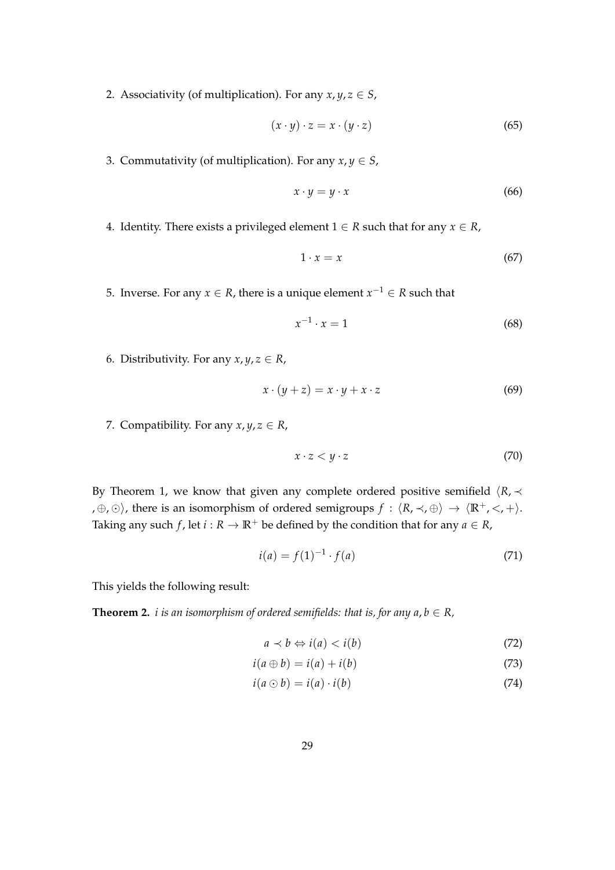2. Associativity (of multiplication). For any  $x, y, z \in S$ ,

$$
(x \cdot y) \cdot z = x \cdot (y \cdot z) \tag{65}
$$

3. Commutativity (of multiplication). For any  $x, y \in S$ ,

$$
x \cdot y = y \cdot x \tag{66}
$$

4. Identity. There exists a privileged element  $1 \in R$  such that for any  $x \in R$ ,

$$
1 \cdot x = x \tag{67}
$$

5. Inverse. For any  $x \in R$ , there is a unique element  $x^{-1} \in R$  such that

$$
x^{-1} \cdot x = 1 \tag{68}
$$

6. Distributivity. For any  $x, y, z \in R$ ,

$$
x \cdot (y + z) = x \cdot y + x \cdot z \tag{69}
$$

7. Compatibility. For any  $x, y, z \in R$ ,

$$
x \cdot z < y \cdot z \tag{70}
$$

By Theorem [1,](#page-25-0) we know that given any complete ordered positive semifield  $\langle R, \prec$ , ⊕, ⊙), there is an isomorphism of ordered semigroups  $f : \langle R, \prec, \oplus \rangle \rightarrow \langle \mathbb{R}^+, \prec, + \rangle$ . Taking any such *f*, let *i* :  $R \to \mathbb{R}^+$  be defined by the condition that for any  $a \in R$ ,

$$
i(a) = f(1)^{-1} \cdot f(a) \tag{71}
$$

This yields the following result:

**Theorem 2.** *i is an isomorphism of ordered semifields: that is, for any*  $a, b \in R$ *,* 

$$
a \prec b \Leftrightarrow i(a) < i(b) \tag{72}
$$

$$
i(a \oplus b) = i(a) + i(b) \tag{73}
$$

$$
i(a \odot b) = i(a) \cdot i(b) \tag{74}
$$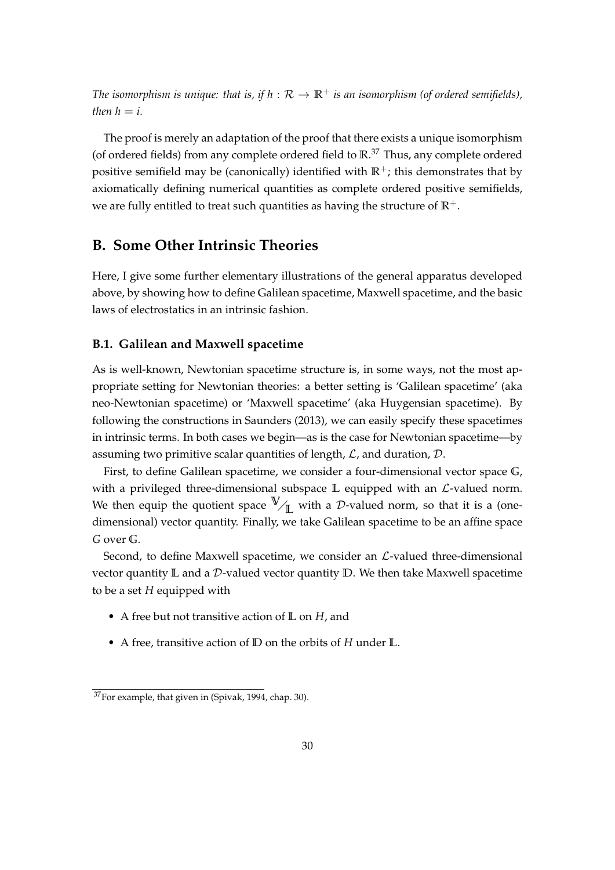*The isomorphism is unique: that is, if*  $h : \mathcal{R} \to \mathbb{R}^+$  *is an isomorphism (of ordered semifields), then*  $h = i$ .

The proof is merely an adaptation of the proof that there exists a unique isomorphism (of ordered fields) from any complete ordered field to **R**. [37](#page-29-2) Thus, any complete ordered positive semifield may be (canonically) identified with  $\mathbb{R}^+$ ; this demonstrates that by axiomatically defining numerical quantities as complete ordered positive semifields, we are fully entitled to treat such quantities as having the structure of  $\mathbb{R}^+$ .

# <span id="page-29-0"></span>**B. Some Other Intrinsic Theories**

Here, I give some further elementary illustrations of the general apparatus developed above, by showing how to define Galilean spacetime, Maxwell spacetime, and the basic laws of electrostatics in an intrinsic fashion.

#### <span id="page-29-1"></span>**B.1. Galilean and Maxwell spacetime**

As is well-known, Newtonian spacetime structure is, in some ways, not the most appropriate setting for Newtonian theories: a better setting is 'Galilean spacetime' (aka neo-Newtonian spacetime) or 'Maxwell spacetime' (aka Huygensian spacetime). By following the constructions in [Saunders](#page-34-5) [\(2013\)](#page-34-5), we can easily specify these spacetimes in intrinsic terms. In both cases we begin—as is the case for Newtonian spacetime—by assuming two primitive scalar quantities of length,  $\mathcal{L}$ , and duration,  $\mathcal{D}$ .

First, to define Galilean spacetime, we consider a four-dimensional vector space **G**, with a privileged three-dimensional subspace L equipped with an  $\mathcal{L}$ -valued norm. We then equip the quotient space  $\mathbb{V}_{\mathbb{I}}$  with a D-valued norm, so that it is a (onedimensional) vector quantity. Finally, we take Galilean spacetime to be an affine space *G* over **G**.

Second, to define Maxwell spacetime, we consider an  $\mathcal{L}\text{-}$ valued three-dimensional vector quantity **L** and a D-valued vector quantity **D**. We then take Maxwell spacetime to be a set *H* equipped with

- A free but not transitive action of **L** on *H*, and
- A free, transitive action of **D** on the orbits of *H* under **L**.

<span id="page-29-2"></span><sup>37</sup>For example, that given in [\(Spivak, 1994,](#page-34-6) chap. 30).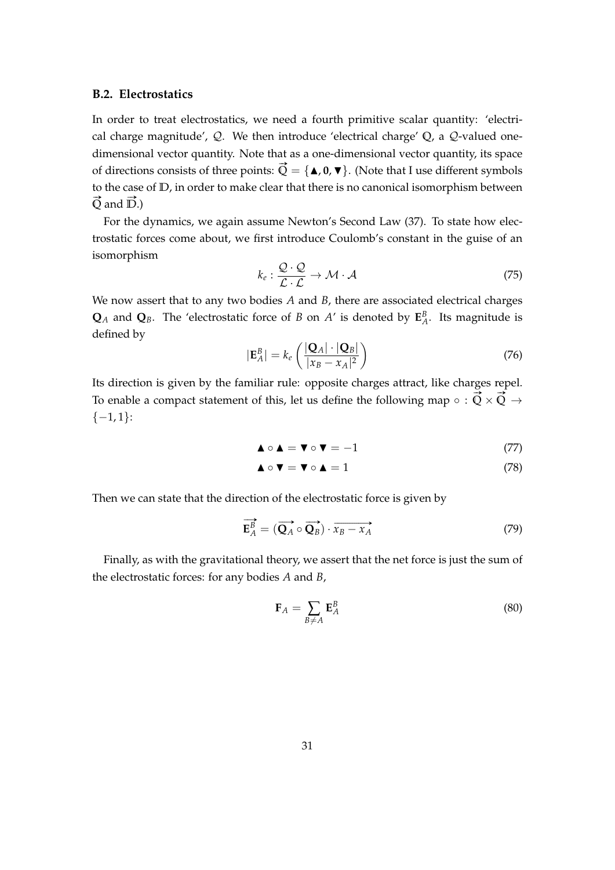#### <span id="page-30-0"></span>**B.2. Electrostatics**

In order to treat electrostatics, we need a fourth primitive scalar quantity: 'electrical charge magnitude', Q. We then introduce 'electrical charge' **Q**, a Q-valued onedimensional vector quantity. Note that as a one-dimensional vector quantity, its space of directions consists of three points:  $\vec{Q} = {\{\textbf{\textbf{A}}, \textbf{0}, \textbf{v}\}}$ . (Note that I use different symbols to the case of **D**, in order to make clear that there is no canonical isomorphism between  $\vec{Q}$  and  $\vec{D}$ .)

For the dynamics, we again assume Newton's Second Law [\(37\)](#page-18-1). To state how electrostatic forces come about, we first introduce Coulomb's constant in the guise of an isomorphism

$$
k_e: \frac{\mathcal{Q} \cdot \mathcal{Q}}{\mathcal{L} \cdot \mathcal{L}} \to \mathcal{M} \cdot \mathcal{A}
$$
 (75)

We now assert that to any two bodies *A* and *B*, there are associated electrical charges  $\mathbf{Q}_A$  and  $\mathbf{Q}_B$ . The 'electrostatic force of *B* on *A*' is denoted by  $\mathbf{E}_A^B$ . Its magnitude is defined by

$$
|\mathbf{E}_A^B| = k_e \left( \frac{|\mathbf{Q}_A| \cdot |\mathbf{Q}_B|}{|x_B - x_A|^2} \right) \tag{76}
$$

Its direction is given by the familiar rule: opposite charges attract, like charges repel. To enable a compact statement of this, let us define the following map ∘ :  $\vec{Q} \times \vec{Q} \rightarrow$  $\{-1,1\}$ :

$$
\blacktriangle \circ \blacktriangle = \blacktriangledown \circ \blacktriangledown = -1 \tag{77}
$$

$$
\blacktriangle \circ \blacktriangledown = \blacktriangledown \circ \blacktriangle = 1 \tag{78}
$$

Then we can state that the direction of the electrostatic force is given by

$$
\overrightarrow{\mathbf{E}_A^B} = (\overrightarrow{\mathbf{Q}_A} \circ \overrightarrow{\mathbf{Q}_B}) \cdot \overrightarrow{x_B - x_A}
$$
 (79)

Finally, as with the gravitational theory, we assert that the net force is just the sum of the electrostatic forces: for any bodies *A* and *B*,

$$
\mathbf{F}_A = \sum_{B \neq A} \mathbf{E}_A^B \tag{80}
$$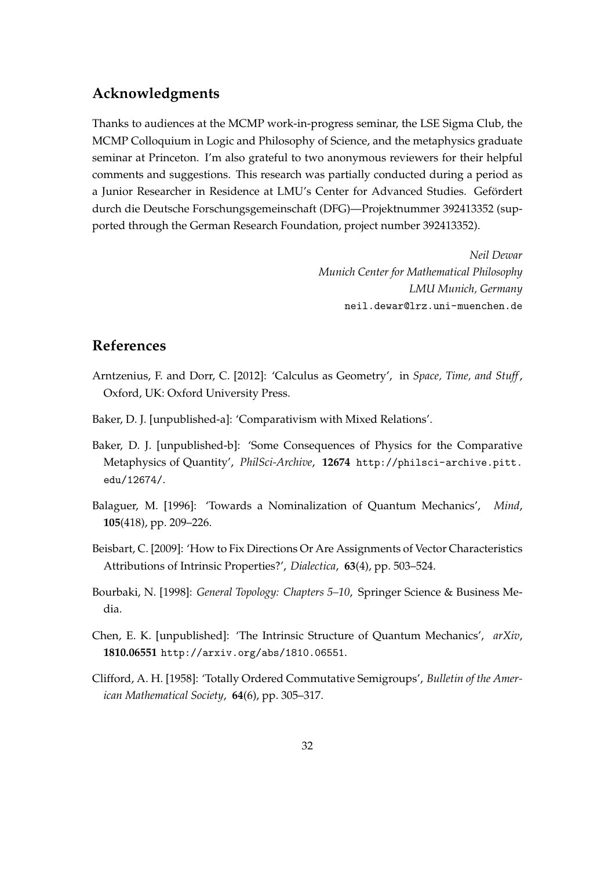# **Acknowledgments**

Thanks to audiences at the MCMP work-in-progress seminar, the LSE Sigma Club, the MCMP Colloquium in Logic and Philosophy of Science, and the metaphysics graduate seminar at Princeton. I'm also grateful to two anonymous reviewers for their helpful comments and suggestions. This research was partially conducted during a period as a Junior Researcher in Residence at LMU's Center for Advanced Studies. Gefordert ¨ durch die Deutsche Forschungsgemeinschaft (DFG)—Projektnummer 392413352 (supported through the German Research Foundation, project number 392413352).

> *Neil Dewar Munich Center for Mathematical Philosophy LMU Munich, Germany* <neil.dewar@lrz.uni-muenchen.de>

# **References**

- <span id="page-31-5"></span>Arntzenius, F. and Dorr, C. [2012]: 'Calculus as Geometry', in *Space, Time, and Stuff*, Oxford, UK: Oxford University Press.
- <span id="page-31-0"></span>Baker, D. J. [unpublished-a]: 'Comparativism with Mixed Relations'.
- <span id="page-31-1"></span>Baker, D. J. [unpublished-b]: 'Some Consequences of Physics for the Comparative Metaphysics of Quantity', *PhilSci-Archive*, **12674** [http://philsci-archive.pitt.](http://philsci-archive.pitt.edu/12674/) [edu/12674/](http://philsci-archive.pitt.edu/12674/).
- <span id="page-31-3"></span>Balaguer, M. [1996]: 'Towards a Nominalization of Quantum Mechanics', *Mind*, **105**(418), pp. 209–226.
- <span id="page-31-2"></span>Beisbart, C. [2009]: 'How to Fix Directions Or Are Assignments of Vector Characteristics Attributions of Intrinsic Properties?', *Dialectica*, **63**(4), pp. 503–524.
- <span id="page-31-7"></span>Bourbaki, N. [1998]: *General Topology: Chapters 5–10*, Springer Science & Business Media.
- <span id="page-31-4"></span>Chen, E. K. [unpublished]: 'The Intrinsic Structure of Quantum Mechanics', *arXiv*, **1810.06551** <http://arxiv.org/abs/1810.06551>.
- <span id="page-31-6"></span>Clifford, A. H. [1958]: 'Totally Ordered Commutative Semigroups', *Bulletin of the American Mathematical Society*, **64**(6), pp. 305–317.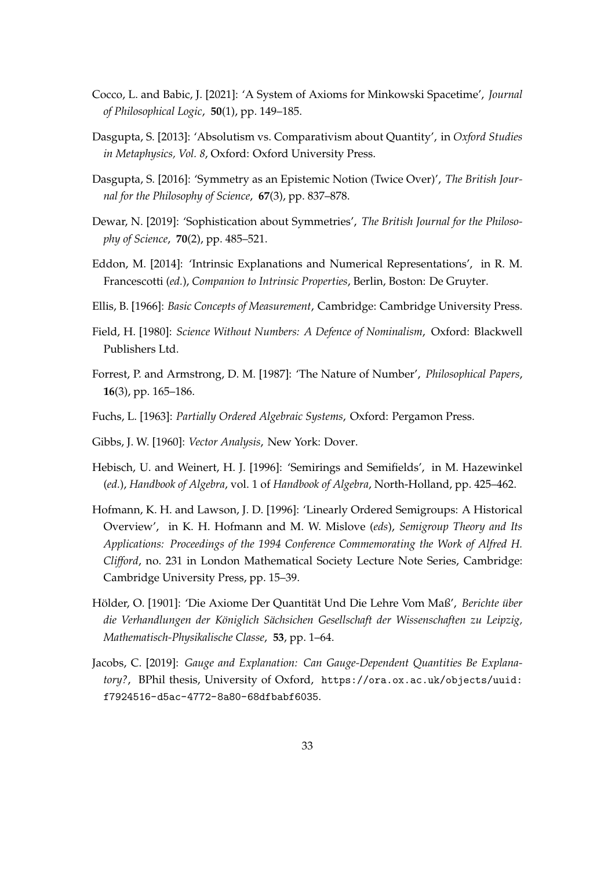- <span id="page-32-10"></span>Cocco, L. and Babic, J. [2021]: 'A System of Axioms for Minkowski Spacetime', *Journal of Philosophical Logic*, **50**(1), pp. 149–185.
- <span id="page-32-1"></span>Dasgupta, S. [2013]: 'Absolutism vs. Comparativism about Quantity', in *Oxford Studies in Metaphysics, Vol. 8*, Oxford: Oxford University Press.
- <span id="page-32-3"></span>Dasgupta, S. [2016]: 'Symmetry as an Epistemic Notion (Twice Over)', *The British Journal for the Philosophy of Science*, **67**(3), pp. 837–878.
- <span id="page-32-4"></span>Dewar, N. [2019]: 'Sophistication about Symmetries', *The British Journal for the Philosophy of Science*, **70**(2), pp. 485–521.
- <span id="page-32-6"></span>Eddon, M. [2014]: 'Intrinsic Explanations and Numerical Representations', in R. M. Francescotti (*ed.*), *Companion to Intrinsic Properties*, Berlin, Boston: De Gruyter.
- <span id="page-32-5"></span>Ellis, B. [1966]: *Basic Concepts of Measurement*, Cambridge: Cambridge University Press.
- <span id="page-32-0"></span>Field, H. [1980]: *Science Without Numbers: A Defence of Nominalism*, Oxford: Blackwell Publishers Ltd.
- <span id="page-32-8"></span>Forrest, P. and Armstrong, D. M. [1987]: 'The Nature of Number', *Philosophical Papers*, **16**(3), pp. 165–186.
- <span id="page-32-11"></span>Fuchs, L. [1963]: *Partially Ordered Algebraic Systems*, Oxford: Pergamon Press.
- <span id="page-32-9"></span>Gibbs, J. W. [1960]: *Vector Analysis*, New York: Dover.
- <span id="page-32-13"></span>Hebisch, U. and Weinert, H. J. [1996]: 'Semirings and Semifields', in M. Hazewinkel (*ed.*), *Handbook of Algebra*, vol. 1 of *Handbook of Algebra*, North-Holland, pp. 425–462.
- <span id="page-32-12"></span>Hofmann, K. H. and Lawson, J. D. [1996]: 'Linearly Ordered Semigroups: A Historical Overview', in K. H. Hofmann and M. W. Mislove (*eds*), *Semigroup Theory and Its Applications: Proceedings of the 1994 Conference Commemorating the Work of Alfred H. Clifford*, no. 231 in London Mathematical Society Lecture Note Series, Cambridge: Cambridge University Press, pp. 15–39.
- <span id="page-32-7"></span>Hölder, O. [1901]: 'Die Axiome Der Quantität Und Die Lehre Vom Maß', Berichte über *die Verhandlungen der K¨oniglich S¨achsichen Gesellschaft der Wissenschaften zu Leipzig, Mathematisch-Physikalische Classe*, **53**, pp. 1–64.
- <span id="page-32-2"></span>Jacobs, C. [2019]: *Gauge and Explanation: Can Gauge-Dependent Quantities Be Explanatory?*, BPhil thesis, University of Oxford, [https://ora.ox.ac.uk/objects/uuid:](https://ora.ox.ac.uk/objects/uuid:f7924516-d5ac-4772-8a80-68dfbabf6035) [f7924516-d5ac-4772-8a80-68dfbabf6035](https://ora.ox.ac.uk/objects/uuid:f7924516-d5ac-4772-8a80-68dfbabf6035).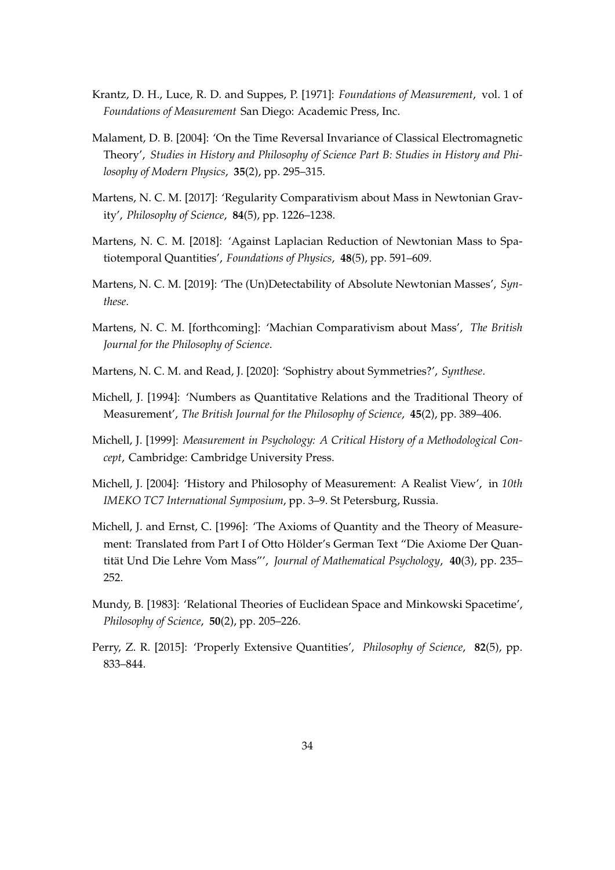- <span id="page-33-7"></span>Krantz, D. H., Luce, R. D. and Suppes, P. [1971]: *Foundations of Measurement*, vol. 1 of *Foundations of Measurement* San Diego: Academic Press, Inc.
- <span id="page-33-10"></span>Malament, D. B. [2004]: 'On the Time Reversal Invariance of Classical Electromagnetic Theory', *Studies in History and Philosophy of Science Part B: Studies in History and Philosophy of Modern Physics*, **35**(2), pp. 295–315.
- <span id="page-33-0"></span>Martens, N. C. M. [2017]: 'Regularity Comparativism about Mass in Newtonian Gravity', *Philosophy of Science*, **84**(5), pp. 1226–1238.
- <span id="page-33-1"></span>Martens, N. C. M. [2018]: 'Against Laplacian Reduction of Newtonian Mass to Spatiotemporal Quantities', *Foundations of Physics*, **48**(5), pp. 591–609.
- <span id="page-33-2"></span>Martens, N. C. M. [2019]: 'The (Un)Detectability of Absolute Newtonian Masses', *Synthese*.
- <span id="page-33-3"></span>Martens, N. C. M. [forthcoming]: 'Machian Comparativism about Mass', *The British Journal for the Philosophy of Science*.
- <span id="page-33-4"></span>Martens, N. C. M. and Read, J. [2020]: 'Sophistry about Symmetries?', *Synthese*.
- <span id="page-33-8"></span>Michell, J. [1994]: 'Numbers as Quantitative Relations and the Traditional Theory of Measurement', *The British Journal for the Philosophy of Science*, **45**(2), pp. 389–406.
- <span id="page-33-5"></span>Michell, J. [1999]: *Measurement in Psychology: A Critical History of a Methodological Concept*, Cambridge: Cambridge University Press.
- <span id="page-33-9"></span>Michell, J. [2004]: 'History and Philosophy of Measurement: A Realist View', in *10th IMEKO TC7 International Symposium*, pp. 3–9. St Petersburg, Russia.
- <span id="page-33-12"></span>Michell, J. and Ernst, C. [1996]: 'The Axioms of Quantity and the Theory of Measurement: Translated from Part I of Otto Hölder's German Text "Die Axiome Der Quantität Und Die Lehre Vom Mass"', *Journal of Mathematical Psychology*, 40(3), pp. 235– 252.
- <span id="page-33-11"></span>Mundy, B. [1983]: 'Relational Theories of Euclidean Space and Minkowski Spacetime', *Philosophy of Science*, **50**(2), pp. 205–226.
- <span id="page-33-6"></span>Perry, Z. R. [2015]: 'Properly Extensive Quantities', *Philosophy of Science*, **82**(5), pp. 833–844.